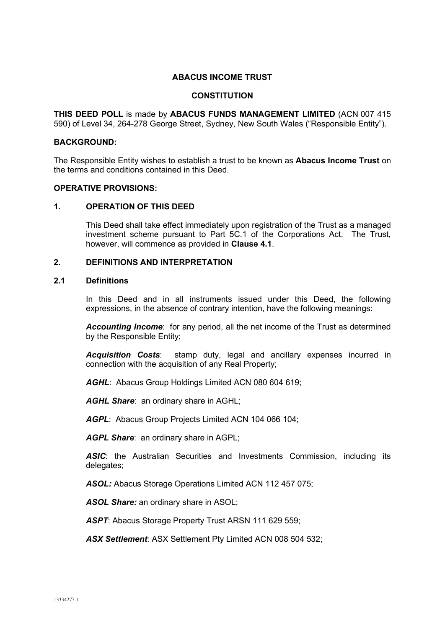## **ABACUS INCOME TRUST**

#### **CONSTITUTION**

**THIS DEED POLL** is made by **ABACUS FUNDS MANAGEMENT LIMITED** (ACN 007 415 590) of Level 34, 264-278 George Street, Sydney, New South Wales ("Responsible Entity").

#### **BACKGROUND:**

The Responsible Entity wishes to establish a trust to be known as **Abacus Income Trust** on the terms and conditions contained in this Deed.

#### **OPERATIVE PROVISIONS:**

#### **1. OPERATION OF THIS DEED**

This Deed shall take effect immediately upon registration of the Trust as a managed investment scheme pursuant to Part 5C.1 of the Corporations Act. The Trust, however, will commence as provided in **Clause 4.1**.

#### **2. DEFINITIONS AND INTERPRETATION**

#### **2.1 Definitions**

In this Deed and in all instruments issued under this Deed, the following expressions, in the absence of contrary intention, have the following meanings:

*Accounting Income*: for any period, all the net income of the Trust as determined by the Responsible Entity;

*Acquisition Costs*: stamp duty, legal and ancillary expenses incurred in connection with the acquisition of any Real Property;

*AGHL*: Abacus Group Holdings Limited ACN 080 604 619;

*AGHL Share*: an ordinary share in AGHL;

*AGPL*: Abacus Group Projects Limited ACN 104 066 104;

*AGPL Share*: an ordinary share in AGPL;

*ASIC*: the Australian Securities and Investments Commission, including its delegates;

*ASOL:* Abacus Storage Operations Limited ACN 112 457 075;

*ASOL Share:* an ordinary share in ASOL;

*ASPT*: Abacus Storage Property Trust ARSN 111 629 559;

*ASX Settlement*: ASX Settlement Pty Limited ACN 008 504 532;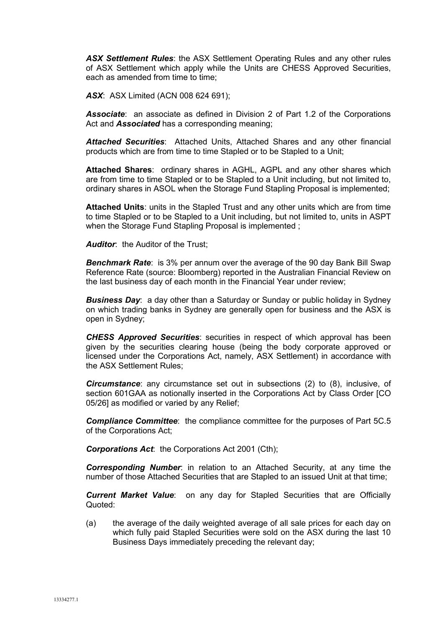*ASX Settlement Rules*: the ASX Settlement Operating Rules and any other rules of ASX Settlement which apply while the Units are CHESS Approved Securities, each as amended from time to time;

*ASX*: ASX Limited (ACN 008 624 691);

*Associate*: an associate as defined in Division 2 of Part 1.2 of the Corporations Act and *Associated* has a corresponding meaning;

*Attached Securities*: Attached Units, Attached Shares and any other financial products which are from time to time Stapled or to be Stapled to a Unit;

**Attached Shares**: ordinary shares in AGHL, AGPL and any other shares which are from time to time Stapled or to be Stapled to a Unit including, but not limited to, ordinary shares in ASOL when the Storage Fund Stapling Proposal is implemented;

**Attached Units**: units in the Stapled Trust and any other units which are from time to time Stapled or to be Stapled to a Unit including, but not limited to, units in ASPT when the Storage Fund Stapling Proposal is implemented ;

*Auditor*: the Auditor of the Trust;

*Benchmark Rate*: is 3% per annum over the average of the 90 day Bank Bill Swap Reference Rate (source: Bloomberg) reported in the Australian Financial Review on the last business day of each month in the Financial Year under review;

*Business Day*: a day other than a Saturday or Sunday or public holiday in Sydney on which trading banks in Sydney are generally open for business and the ASX is open in Sydney;

*CHESS Approved Securities*: securities in respect of which approval has been given by the securities clearing house (being the body corporate approved or licensed under the Corporations Act, namely, ASX Settlement) in accordance with the ASX Settlement Rules;

*Circumstance*: any circumstance set out in subsections (2) to (8), inclusive, of section 601GAA as notionally inserted in the Corporations Act by Class Order [CO 05/26] as modified or varied by any Relief;

*Compliance Committee*: the compliance committee for the purposes of Part 5C.5 of the Corporations Act;

*Corporations Act*: the Corporations Act 2001 (Cth);

*Corresponding Number*: in relation to an Attached Security, at any time the number of those Attached Securities that are Stapled to an issued Unit at that time;

*Current Market Value*: on any day for Stapled Securities that are Officially Quoted:

(a) the average of the daily weighted average of all sale prices for each day on which fully paid Stapled Securities were sold on the ASX during the last 10 Business Days immediately preceding the relevant day;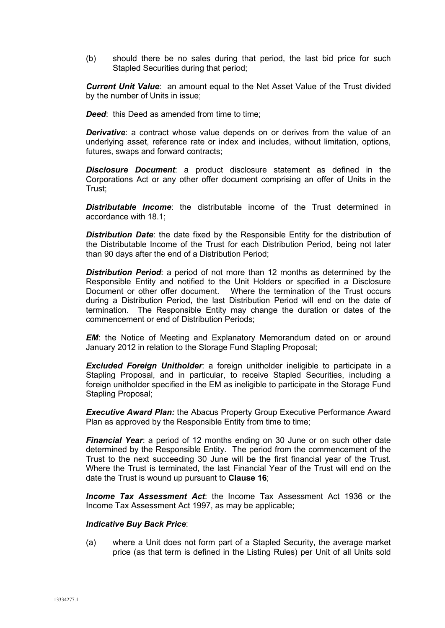(b) should there be no sales during that period, the last bid price for such Stapled Securities during that period;

*Current Unit Value*: an amount equal to the Net Asset Value of the Trust divided by the number of Units in issue;

**Deed:** this Deed as amended from time to time:

*Derivative*: a contract whose value depends on or derives from the value of an underlying asset, reference rate or index and includes, without limitation, options, futures, swaps and forward contracts;

*Disclosure Document*: a product disclosure statement as defined in the Corporations Act or any other offer document comprising an offer of Units in the Trust;

*Distributable Income*: the distributable income of the Trust determined in accordance with 18.1;

*Distribution Date*: the date fixed by the Responsible Entity for the distribution of the Distributable Income of the Trust for each Distribution Period, being not later than 90 days after the end of a Distribution Period;

*Distribution Period*: a period of not more than 12 months as determined by the Responsible Entity and notified to the Unit Holders or specified in a Disclosure Document or other offer document. Where the termination of the Trust occurs during a Distribution Period, the last Distribution Period will end on the date of termination. The Responsible Entity may change the duration or dates of the commencement or end of Distribution Periods;

*EM*: the Notice of Meeting and Explanatory Memorandum dated on or around January 2012 in relation to the Storage Fund Stapling Proposal;

*Excluded Foreign Unitholder*: a foreign unitholder ineligible to participate in a Stapling Proposal, and in particular, to receive Stapled Securities, including a foreign unitholder specified in the EM as ineligible to participate in the Storage Fund Stapling Proposal;

*Executive Award Plan:* the Abacus Property Group Executive Performance Award Plan as approved by the Responsible Entity from time to time;

*Financial Year*: a period of 12 months ending on 30 June or on such other date determined by the Responsible Entity. The period from the commencement of the Trust to the next succeeding 30 June will be the first financial year of the Trust. Where the Trust is terminated, the last Financial Year of the Trust will end on the date the Trust is wound up pursuant to **Clause 16**;

*Income Tax Assessment Act*: the Income Tax Assessment Act 1936 or the Income Tax Assessment Act 1997, as may be applicable;

#### *Indicative Buy Back Price*:

(a) where a Unit does not form part of a Stapled Security, the average market price (as that term is defined in the Listing Rules) per Unit of all Units sold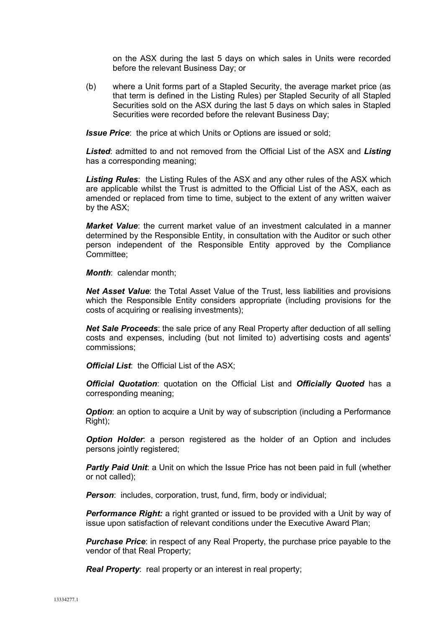on the ASX during the last 5 days on which sales in Units were recorded before the relevant Business Day; or

(b) where a Unit forms part of a Stapled Security, the average market price (as that term is defined in the Listing Rules) per Stapled Security of all Stapled Securities sold on the ASX during the last 5 days on which sales in Stapled Securities were recorded before the relevant Business Day;

*Issue Price*: the price at which Units or Options are issued or sold;

*Listed*: admitted to and not removed from the Official List of the ASX and *Listing* has a corresponding meaning;

*Listing Rules*: the Listing Rules of the ASX and any other rules of the ASX which are applicable whilst the Trust is admitted to the Official List of the ASX, each as amended or replaced from time to time, subject to the extent of any written waiver by the ASX;

*Market Value*: the current market value of an investment calculated in a manner determined by the Responsible Entity, in consultation with the Auditor or such other person independent of the Responsible Entity approved by the Compliance Committee;

*Month*: calendar month;

*Net Asset Value*: the Total Asset Value of the Trust, less liabilities and provisions which the Responsible Entity considers appropriate (including provisions for the costs of acquiring or realising investments);

*Net Sale Proceeds*: the sale price of any Real Property after deduction of all selling costs and expenses, including (but not limited to) advertising costs and agents' commissions;

*Official List*: the Official List of the ASX;

*Official Quotation*: quotation on the Official List and *Officially Quoted* has a corresponding meaning;

*Option:* an option to acquire a Unit by way of subscription (including a Performance Right);

*Option Holder*: a person registered as the holder of an Option and includes persons jointly registered;

**Partly Paid Unit:** a Unit on which the Issue Price has not been paid in full (whether or not called);

**Person:** includes, corporation, trust, fund, firm, body or individual;

*Performance Right:* a right granted or issued to be provided with a Unit by way of issue upon satisfaction of relevant conditions under the Executive Award Plan;

**Purchase Price:** in respect of any Real Property, the purchase price payable to the vendor of that Real Property;

*Real Property:* real property or an interest in real property;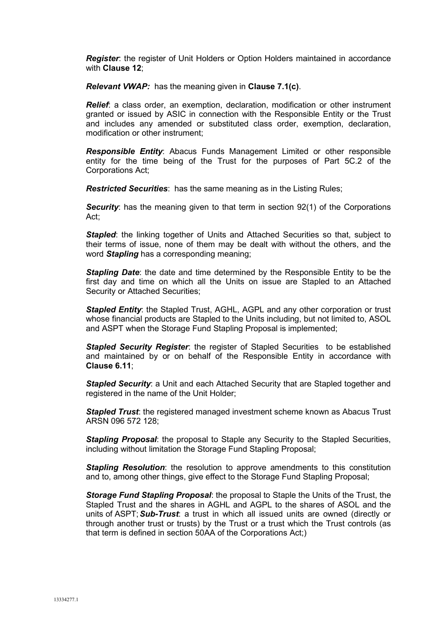*Register*: the register of Unit Holders or Option Holders maintained in accordance with **Clause 12**;

*Relevant VWAP:* has the meaning given in **Clause 7.1(c)**.

*Relief*: a class order, an exemption, declaration, modification or other instrument granted or issued by ASIC in connection with the Responsible Entity or the Trust and includes any amended or substituted class order, exemption, declaration, modification or other instrument;

*Responsible Entity*: Abacus Funds Management Limited or other responsible entity for the time being of the Trust for the purposes of Part 5C.2 of the Corporations Act;

*Restricted Securities*: has the same meaning as in the Listing Rules;

**Security:** has the meaning given to that term in section 92(1) of the Corporations Act;

*Stapled*: the linking together of Units and Attached Securities so that, subject to their terms of issue, none of them may be dealt with without the others, and the word *Stapling* has a corresponding meaning;

*Stapling Date*: the date and time determined by the Responsible Entity to be the first day and time on which all the Units on issue are Stapled to an Attached Security or Attached Securities;

**Stapled Entity:** the Stapled Trust, AGHL, AGPL and any other corporation or trust whose financial products are Stapled to the Units including, but not limited to, ASOL and ASPT when the Storage Fund Stapling Proposal is implemented;

*Stapled Security Register*: the register of Stapled Securities to be established and maintained by or on behalf of the Responsible Entity in accordance with **Clause 6.11**;

*Stapled Security*: a Unit and each Attached Security that are Stapled together and registered in the name of the Unit Holder;

*Stapled Trust*: the registered managed investment scheme known as Abacus Trust ARSN 096 572 128;

*Stapling Proposal*: the proposal to Staple any Security to the Stapled Securities, including without limitation the Storage Fund Stapling Proposal;

*Stapling Resolution*: the resolution to approve amendments to this constitution and to, among other things, give effect to the Storage Fund Stapling Proposal;

*Storage Fund Stapling Proposal*: the proposal to Staple the Units of the Trust, the Stapled Trust and the shares in AGHL and AGPL to the shares of ASOL and the units of ASPT;*Sub-Trust*: a trust in which all issued units are owned (directly or through another trust or trusts) by the Trust or a trust which the Trust controls (as that term is defined in section 50AA of the Corporations Act;)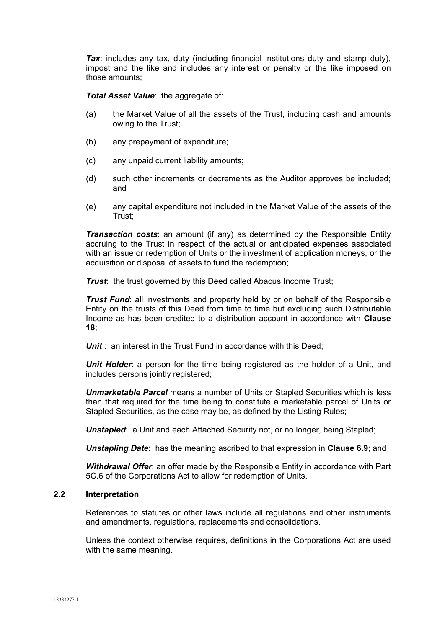**Tax**: includes any tax, duty (including financial institutions duty and stamp duty), impost and the like and includes any interest or penalty or the like imposed on those amounts;

*Total Asset Value: the aggregate of:* 

- (a) the Market Value of all the assets of the Trust, including cash and amounts owing to the Trust;
- (b) any prepayment of expenditure;
- (c) any unpaid current liability amounts;
- (d) such other increments or decrements as the Auditor approves be included; and
- (e) any capital expenditure not included in the Market Value of the assets of the Trust;

*Transaction costs:* an amount (if any) as determined by the Responsible Entity accruing to the Trust in respect of the actual or anticipated expenses associated with an issue or redemption of Units or the investment of application moneys, or the acquisition or disposal of assets to fund the redemption;

**Trust:** the trust governed by this Deed called Abacus Income Trust;

*Trust Fund*: all investments and property held by or on behalf of the Responsible Entity on the trusts of this Deed from time to time but excluding such Distributable Income as has been credited to a distribution account in accordance with **Clause 18**;

**Unit**: an interest in the Trust Fund in accordance with this Deed:

*Unit Holder*: a person for the time being registered as the holder of a Unit, and includes persons jointly registered;

*Unmarketable Parcel* means a number of Units or Stapled Securities which is less than that required for the time being to constitute a marketable parcel of Units or Stapled Securities, as the case may be, as defined by the Listing Rules;

**Unstapled:** a Unit and each Attached Security not, or no longer, being Stapled;

*Unstapling Date*: has the meaning ascribed to that expression in **Clause 6.9**; and

*Withdrawal Offer*: an offer made by the Responsible Entity in accordance with Part 5C.6 of the Corporations Act to allow for redemption of Units.

## **2.2 Interpretation**

References to statutes or other laws include all regulations and other instruments and amendments, regulations, replacements and consolidations.

Unless the context otherwise requires, definitions in the Corporations Act are used with the same meaning.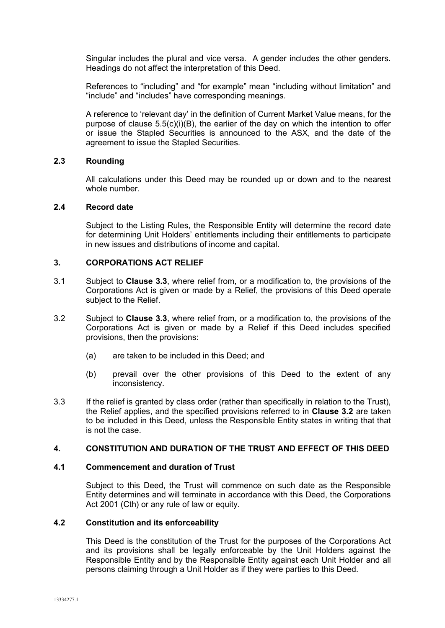Singular includes the plural and vice versa. A gender includes the other genders. Headings do not affect the interpretation of this Deed.

References to "including" and "for example" mean "including without limitation" and "include" and "includes" have corresponding meanings.

A reference to 'relevant day' in the definition of Current Market Value means, for the purpose of clause  $5.5(c)(i)(B)$ , the earlier of the day on which the intention to offer or issue the Stapled Securities is announced to the ASX, and the date of the agreement to issue the Stapled Securities.

## **2.3 Rounding**

All calculations under this Deed may be rounded up or down and to the nearest whole number.

## **2.4 Record date**

Subject to the Listing Rules, the Responsible Entity will determine the record date for determining Unit Holders' entitlements including their entitlements to participate in new issues and distributions of income and capital.

## **3. CORPORATIONS ACT RELIEF**

- 3.1 Subject to **Clause 3.3**, where relief from, or a modification to, the provisions of the Corporations Act is given or made by a Relief, the provisions of this Deed operate subject to the Relief.
- 3.2 Subject to **Clause 3.3**, where relief from, or a modification to, the provisions of the Corporations Act is given or made by a Relief if this Deed includes specified provisions, then the provisions:
	- (a) are taken to be included in this Deed; and
	- (b) prevail over the other provisions of this Deed to the extent of any inconsistency.
- 3.3 If the relief is granted by class order (rather than specifically in relation to the Trust), the Relief applies, and the specified provisions referred to in **Clause 3.2** are taken to be included in this Deed, unless the Responsible Entity states in writing that that is not the case.

#### **4. CONSTITUTION AND DURATION OF THE TRUST AND EFFECT OF THIS DEED**

#### **4.1 Commencement and duration of Trust**

Subject to this Deed, the Trust will commence on such date as the Responsible Entity determines and will terminate in accordance with this Deed, the Corporations Act 2001 (Cth) or any rule of law or equity.

## **4.2 Constitution and its enforceability**

This Deed is the constitution of the Trust for the purposes of the Corporations Act and its provisions shall be legally enforceable by the Unit Holders against the Responsible Entity and by the Responsible Entity against each Unit Holder and all persons claiming through a Unit Holder as if they were parties to this Deed.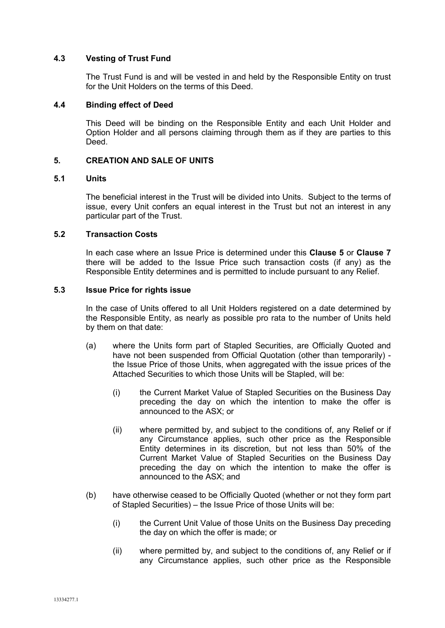## **4.3 Vesting of Trust Fund**

The Trust Fund is and will be vested in and held by the Responsible Entity on trust for the Unit Holders on the terms of this Deed.

### **4.4 Binding effect of Deed**

This Deed will be binding on the Responsible Entity and each Unit Holder and Option Holder and all persons claiming through them as if they are parties to this Deed.

## **5. CREATION AND SALE OF UNITS**

#### **5.1 Units**

The beneficial interest in the Trust will be divided into Units. Subject to the terms of issue, every Unit confers an equal interest in the Trust but not an interest in any particular part of the Trust.

## **5.2 Transaction Costs**

In each case where an Issue Price is determined under this **Clause 5** or **Clause 7**  there will be added to the Issue Price such transaction costs (if any) as the Responsible Entity determines and is permitted to include pursuant to any Relief.

## **5.3 Issue Price for rights issue**

In the case of Units offered to all Unit Holders registered on a date determined by the Responsible Entity, as nearly as possible pro rata to the number of Units held by them on that date:

- (a) where the Units form part of Stapled Securities, are Officially Quoted and have not been suspended from Official Quotation (other than temporarily) the Issue Price of those Units, when aggregated with the issue prices of the Attached Securities to which those Units will be Stapled, will be:
	- (i) the Current Market Value of Stapled Securities on the Business Day preceding the day on which the intention to make the offer is announced to the ASX; or
	- (ii) where permitted by, and subject to the conditions of, any Relief or if any Circumstance applies, such other price as the Responsible Entity determines in its discretion, but not less than 50% of the Current Market Value of Stapled Securities on the Business Day preceding the day on which the intention to make the offer is announced to the ASX; and
- (b) have otherwise ceased to be Officially Quoted (whether or not they form part of Stapled Securities) – the Issue Price of those Units will be:
	- (i) the Current Unit Value of those Units on the Business Day preceding the day on which the offer is made; or
	- (ii) where permitted by, and subject to the conditions of, any Relief or if any Circumstance applies, such other price as the Responsible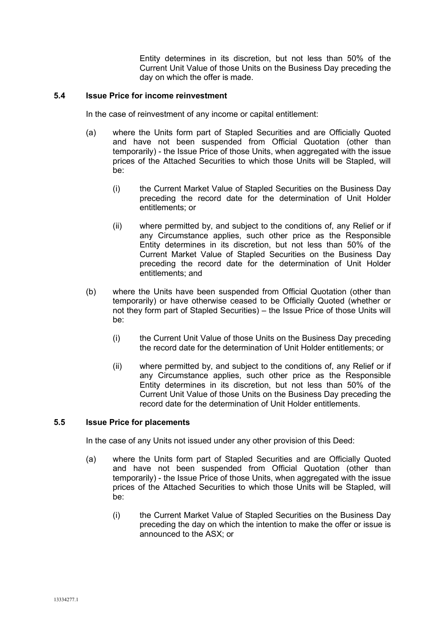Entity determines in its discretion, but not less than 50% of the Current Unit Value of those Units on the Business Day preceding the day on which the offer is made.

## **5.4 Issue Price for income reinvestment**

In the case of reinvestment of any income or capital entitlement:

- (a) where the Units form part of Stapled Securities and are Officially Quoted and have not been suspended from Official Quotation (other than temporarily) - the Issue Price of those Units, when aggregated with the issue prices of the Attached Securities to which those Units will be Stapled, will be:
	- (i) the Current Market Value of Stapled Securities on the Business Day preceding the record date for the determination of Unit Holder entitlements; or
	- (ii) where permitted by, and subject to the conditions of, any Relief or if any Circumstance applies, such other price as the Responsible Entity determines in its discretion, but not less than 50% of the Current Market Value of Stapled Securities on the Business Day preceding the record date for the determination of Unit Holder entitlements; and
- (b) where the Units have been suspended from Official Quotation (other than temporarily) or have otherwise ceased to be Officially Quoted (whether or not they form part of Stapled Securities) – the Issue Price of those Units will be:
	- (i) the Current Unit Value of those Units on the Business Day preceding the record date for the determination of Unit Holder entitlements; or
	- (ii) where permitted by, and subject to the conditions of, any Relief or if any Circumstance applies, such other price as the Responsible Entity determines in its discretion, but not less than 50% of the Current Unit Value of those Units on the Business Day preceding the record date for the determination of Unit Holder entitlements.

#### **5.5 Issue Price for placements**

In the case of any Units not issued under any other provision of this Deed:

- (a) where the Units form part of Stapled Securities and are Officially Quoted and have not been suspended from Official Quotation (other than temporarily) - the Issue Price of those Units, when aggregated with the issue prices of the Attached Securities to which those Units will be Stapled, will be:
	- (i) the Current Market Value of Stapled Securities on the Business Day preceding the day on which the intention to make the offer or issue is announced to the ASX; or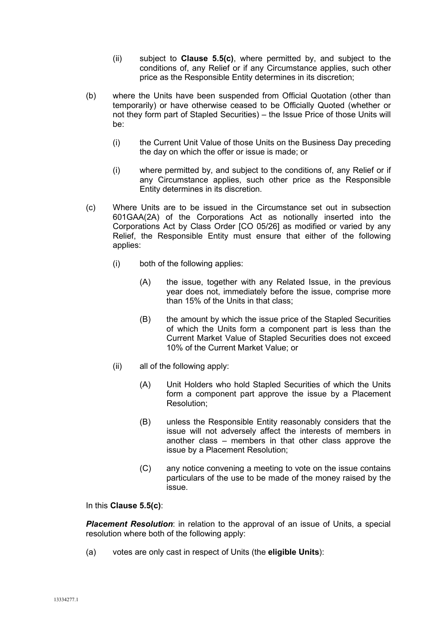- (ii) subject to **Clause 5.5(c)**, where permitted by, and subject to the conditions of, any Relief or if any Circumstance applies, such other price as the Responsible Entity determines in its discretion;
- (b) where the Units have been suspended from Official Quotation (other than temporarily) or have otherwise ceased to be Officially Quoted (whether or not they form part of Stapled Securities) – the Issue Price of those Units will be:
	- (i) the Current Unit Value of those Units on the Business Day preceding the day on which the offer or issue is made; or
	- (i) where permitted by, and subject to the conditions of, any Relief or if any Circumstance applies, such other price as the Responsible Entity determines in its discretion.
- (c) Where Units are to be issued in the Circumstance set out in subsection 601GAA(2A) of the Corporations Act as notionally inserted into the Corporations Act by Class Order [CO 05/26] as modified or varied by any Relief, the Responsible Entity must ensure that either of the following applies:
	- (i) both of the following applies:
		- (A) the issue, together with any Related Issue, in the previous year does not, immediately before the issue, comprise more than 15% of the Units in that class;
		- (B) the amount by which the issue price of the Stapled Securities of which the Units form a component part is less than the Current Market Value of Stapled Securities does not exceed 10% of the Current Market Value; or
	- (ii) all of the following apply:
		- (A) Unit Holders who hold Stapled Securities of which the Units form a component part approve the issue by a Placement Resolution;
		- (B) unless the Responsible Entity reasonably considers that the issue will not adversely affect the interests of members in another class – members in that other class approve the issue by a Placement Resolution;
		- (C) any notice convening a meeting to vote on the issue contains particulars of the use to be made of the money raised by the issue.

In this **Clause 5.5(c)**:

*Placement Resolution*: in relation to the approval of an issue of Units, a special resolution where both of the following apply:

(a) votes are only cast in respect of Units (the **eligible Units**):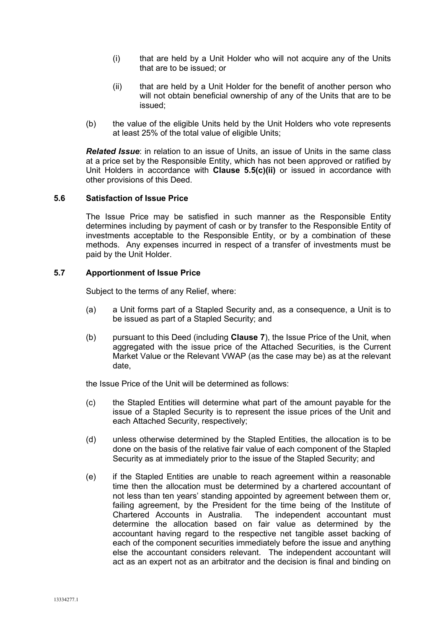- (i) that are held by a Unit Holder who will not acquire any of the Units that are to be issued; or
- (ii) that are held by a Unit Holder for the benefit of another person who will not obtain beneficial ownership of any of the Units that are to be issued;
- (b) the value of the eligible Units held by the Unit Holders who vote represents at least 25% of the total value of eligible Units;

*Related Issue*: in relation to an issue of Units, an issue of Units in the same class at a price set by the Responsible Entity, which has not been approved or ratified by Unit Holders in accordance with **Clause 5.5(c)(ii)** or issued in accordance with other provisions of this Deed.

## **5.6 Satisfaction of Issue Price**

The Issue Price may be satisfied in such manner as the Responsible Entity determines including by payment of cash or by transfer to the Responsible Entity of investments acceptable to the Responsible Entity, or by a combination of these methods. Any expenses incurred in respect of a transfer of investments must be paid by the Unit Holder.

## **5.7 Apportionment of Issue Price**

Subject to the terms of any Relief, where:

- (a) a Unit forms part of a Stapled Security and, as a consequence, a Unit is to be issued as part of a Stapled Security; and
- (b) pursuant to this Deed (including **Clause 7**), the Issue Price of the Unit, when aggregated with the issue price of the Attached Securities, is the Current Market Value or the Relevant VWAP (as the case may be) as at the relevant date,

the Issue Price of the Unit will be determined as follows:

- (c) the Stapled Entities will determine what part of the amount payable for the issue of a Stapled Security is to represent the issue prices of the Unit and each Attached Security, respectively;
- (d) unless otherwise determined by the Stapled Entities, the allocation is to be done on the basis of the relative fair value of each component of the Stapled Security as at immediately prior to the issue of the Stapled Security; and
- (e) if the Stapled Entities are unable to reach agreement within a reasonable time then the allocation must be determined by a chartered accountant of not less than ten years' standing appointed by agreement between them or, failing agreement, by the President for the time being of the Institute of Chartered Accounts in Australia. The independent accountant must The independent accountant must determine the allocation based on fair value as determined by the accountant having regard to the respective net tangible asset backing of each of the component securities immediately before the issue and anything else the accountant considers relevant. The independent accountant will act as an expert not as an arbitrator and the decision is final and binding on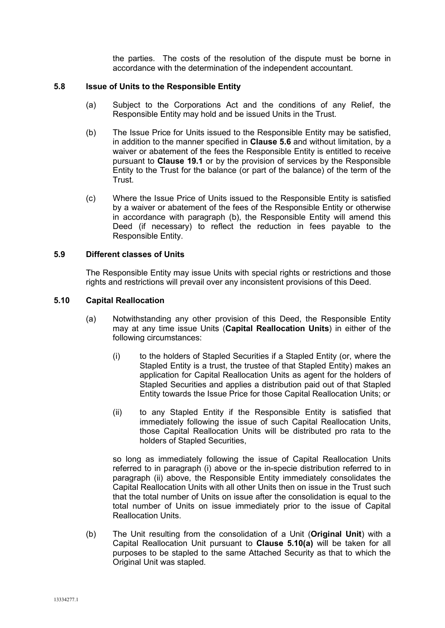the parties. The costs of the resolution of the dispute must be borne in accordance with the determination of the independent accountant.

## **5.8 Issue of Units to the Responsible Entity**

- (a) Subject to the Corporations Act and the conditions of any Relief, the Responsible Entity may hold and be issued Units in the Trust.
- (b) The Issue Price for Units issued to the Responsible Entity may be satisfied, in addition to the manner specified in **Clause 5.6** and without limitation, by a waiver or abatement of the fees the Responsible Entity is entitled to receive pursuant to **Clause 19.1** or by the provision of services by the Responsible Entity to the Trust for the balance (or part of the balance) of the term of the Trust.
- (c) Where the Issue Price of Units issued to the Responsible Entity is satisfied by a waiver or abatement of the fees of the Responsible Entity or otherwise in accordance with paragraph (b), the Responsible Entity will amend this Deed (if necessary) to reflect the reduction in fees payable to the Responsible Entity.

## **5.9 Different classes of Units**

The Responsible Entity may issue Units with special rights or restrictions and those rights and restrictions will prevail over any inconsistent provisions of this Deed.

## **5.10 Capital Reallocation**

- (a) Notwithstanding any other provision of this Deed, the Responsible Entity may at any time issue Units (**Capital Reallocation Units**) in either of the following circumstances:
	- (i) to the holders of Stapled Securities if a Stapled Entity (or, where the Stapled Entity is a trust, the trustee of that Stapled Entity) makes an application for Capital Reallocation Units as agent for the holders of Stapled Securities and applies a distribution paid out of that Stapled Entity towards the Issue Price for those Capital Reallocation Units; or
	- (ii) to any Stapled Entity if the Responsible Entity is satisfied that immediately following the issue of such Capital Reallocation Units, those Capital Reallocation Units will be distributed pro rata to the holders of Stapled Securities,

so long as immediately following the issue of Capital Reallocation Units referred to in paragraph (i) above or the in-specie distribution referred to in paragraph (ii) above, the Responsible Entity immediately consolidates the Capital Reallocation Units with all other Units then on issue in the Trust such that the total number of Units on issue after the consolidation is equal to the total number of Units on issue immediately prior to the issue of Capital Reallocation Units.

(b) The Unit resulting from the consolidation of a Unit (**Original Unit**) with a Capital Reallocation Unit pursuant to **Clause 5.10(a)** will be taken for all purposes to be stapled to the same Attached Security as that to which the Original Unit was stapled.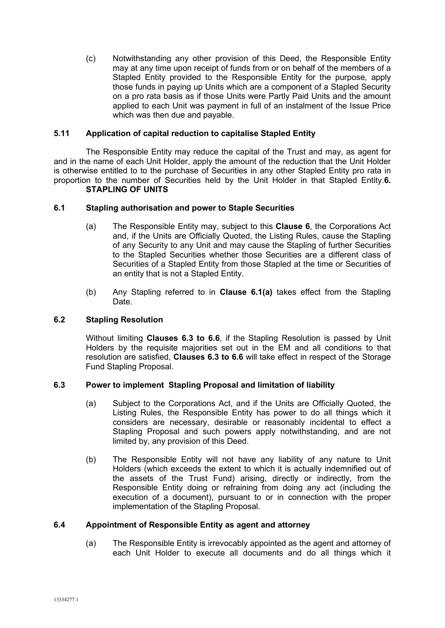(c) Notwithstanding any other provision of this Deed, the Responsible Entity may at any time upon receipt of funds from or on behalf of the members of a Stapled Entity provided to the Responsible Entity for the purpose, apply those funds in paying up Units which are a component of a Stapled Security on a pro rata basis as if those Units were Partly Paid Units and the amount applied to each Unit was payment in full of an instalment of the Issue Price which was then due and payable.

## **5.11 Application of capital reduction to capitalise Stapled Entity**

The Responsible Entity may reduce the capital of the Trust and may, as agent for and in the name of each Unit Holder, apply the amount of the reduction that the Unit Holder is otherwise entitled to to the purchase of Securities in any other Stapled Entity pro rata in proportion to the number of Securities held by the Unit Holder in that Stapled Entity.**6. STAPLING OF UNITS**

## **6.1 Stapling authorisation and power to Staple Securities**

- (a) The Responsible Entity may, subject to this **Clause 6**, the Corporations Act and, if the Units are Officially Quoted, the Listing Rules, cause the Stapling of any Security to any Unit and may cause the Stapling of further Securities to the Stapled Securities whether those Securities are a different class of Securities of a Stapled Entity from those Stapled at the time or Securities of an entity that is not a Stapled Entity.
- (b) Any Stapling referred to in **Clause 6.1(a)** takes effect from the Stapling Date.

#### **6.2 Stapling Resolution**

Without limiting **Clauses 6.3 to 6.6**, if the Stapling Resolution is passed by Unit Holders by the requisite majorities set out in the EM and all conditions to that resolution are satisfied, **Clauses 6.3 to 6.6** will take effect in respect of the Storage Fund Stapling Proposal.

## **6.3 Power to implement Stapling Proposal and limitation of liability**

- (a) Subject to the Corporations Act, and if the Units are Officially Quoted, the Listing Rules, the Responsible Entity has power to do all things which it considers are necessary, desirable or reasonably incidental to effect a Stapling Proposal and such powers apply notwithstanding, and are not limited by, any provision of this Deed.
- (b) The Responsible Entity will not have any liability of any nature to Unit Holders (which exceeds the extent to which it is actually indemnified out of the assets of the Trust Fund) arising, directly or indirectly, from the Responsible Entity doing or refraining from doing any act (including the execution of a document), pursuant to or in connection with the proper implementation of the Stapling Proposal.

#### **6.4 Appointment of Responsible Entity as agent and attorney**

(a) The Responsible Entity is irrevocably appointed as the agent and attorney of each Unit Holder to execute all documents and do all things which it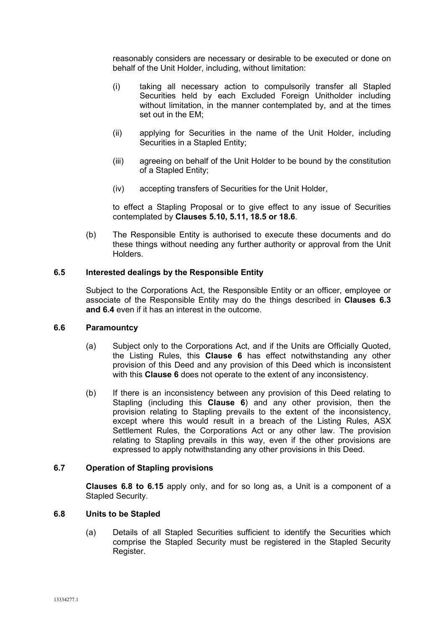reasonably considers are necessary or desirable to be executed or done on behalf of the Unit Holder, including, without limitation:

- (i) taking all necessary action to compulsorily transfer all Stapled Securities held by each Excluded Foreign Unitholder including without limitation, in the manner contemplated by, and at the times set out in the EM;
- (ii) applying for Securities in the name of the Unit Holder, including Securities in a Stapled Entity;
- (iii) agreeing on behalf of the Unit Holder to be bound by the constitution of a Stapled Entity;
- (iv) accepting transfers of Securities for the Unit Holder,

to effect a Stapling Proposal or to give effect to any issue of Securities contemplated by **Clauses 5.10, 5.11, 18.5 or 18.6**.

(b) The Responsible Entity is authorised to execute these documents and do these things without needing any further authority or approval from the Unit **Holders** 

## **6.5 Interested dealings by the Responsible Entity**

Subject to the Corporations Act, the Responsible Entity or an officer, employee or associate of the Responsible Entity may do the things described in **Clauses 6.3 and 6.4** even if it has an interest in the outcome.

#### **6.6 Paramountcy**

- (a) Subject only to the Corporations Act, and if the Units are Officially Quoted, the Listing Rules, this **Clause 6** has effect notwithstanding any other provision of this Deed and any provision of this Deed which is inconsistent with this **Clause 6** does not operate to the extent of any inconsistency.
- (b) If there is an inconsistency between any provision of this Deed relating to Stapling (including this **Clause 6**) and any other provision, then the provision relating to Stapling prevails to the extent of the inconsistency, except where this would result in a breach of the Listing Rules, ASX Settlement Rules, the Corporations Act or any other law. The provision relating to Stapling prevails in this way, even if the other provisions are expressed to apply notwithstanding any other provisions in this Deed.

## **6.7 Operation of Stapling provisions**

**Clauses 6.8 to 6.15** apply only, and for so long as, a Unit is a component of a Stapled Security.

#### **6.8 Units to be Stapled**

(a) Details of all Stapled Securities sufficient to identify the Securities which comprise the Stapled Security must be registered in the Stapled Security Register.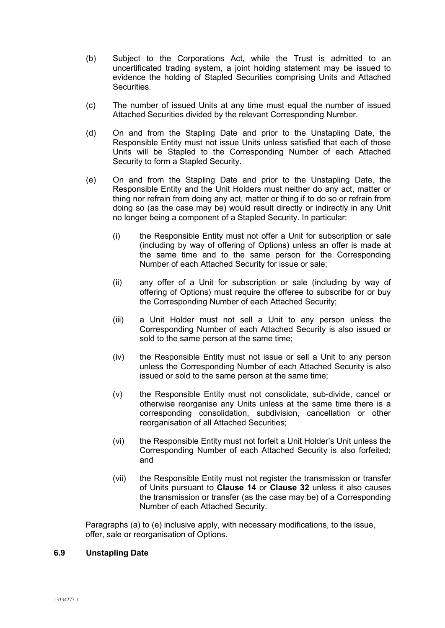- (b) Subject to the Corporations Act, while the Trust is admitted to an uncertificated trading system, a joint holding statement may be issued to evidence the holding of Stapled Securities comprising Units and Attached Securities.
- (c) The number of issued Units at any time must equal the number of issued Attached Securities divided by the relevant Corresponding Number.
- (d) On and from the Stapling Date and prior to the Unstapling Date, the Responsible Entity must not issue Units unless satisfied that each of those Units will be Stapled to the Corresponding Number of each Attached Security to form a Stapled Security.
- (e) On and from the Stapling Date and prior to the Unstapling Date, the Responsible Entity and the Unit Holders must neither do any act, matter or thing nor refrain from doing any act, matter or thing if to do so or refrain from doing so (as the case may be) would result directly or indirectly in any Unit no longer being a component of a Stapled Security. In particular:
	- (i) the Responsible Entity must not offer a Unit for subscription or sale (including by way of offering of Options) unless an offer is made at the same time and to the same person for the Corresponding Number of each Attached Security for issue or sale;
	- (ii) any offer of a Unit for subscription or sale (including by way of offering of Options) must require the offeree to subscribe for or buy the Corresponding Number of each Attached Security;
	- (iii) a Unit Holder must not sell a Unit to any person unless the Corresponding Number of each Attached Security is also issued or sold to the same person at the same time;
	- (iv) the Responsible Entity must not issue or sell a Unit to any person unless the Corresponding Number of each Attached Security is also issued or sold to the same person at the same time;
	- (v) the Responsible Entity must not consolidate, sub-divide, cancel or otherwise reorganise any Units unless at the same time there is a corresponding consolidation, subdivision, cancellation or other reorganisation of all Attached Securities;
	- (vi) the Responsible Entity must not forfeit a Unit Holder's Unit unless the Corresponding Number of each Attached Security is also forfeited; and
	- (vii) the Responsible Entity must not register the transmission or transfer of Units pursuant to **Clause 14** or **Clause 32** unless it also causes the transmission or transfer (as the case may be) of a Corresponding Number of each Attached Security.

Paragraphs (a) to (e) inclusive apply, with necessary modifications, to the issue, offer, sale or reorganisation of Options.

## **6.9 Unstapling Date**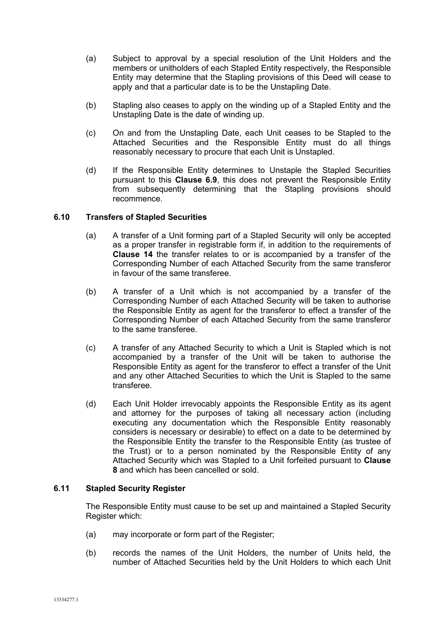- (a) Subject to approval by a special resolution of the Unit Holders and the members or unitholders of each Stapled Entity respectively, the Responsible Entity may determine that the Stapling provisions of this Deed will cease to apply and that a particular date is to be the Unstapling Date.
- (b) Stapling also ceases to apply on the winding up of a Stapled Entity and the Unstapling Date is the date of winding up.
- (c) On and from the Unstapling Date, each Unit ceases to be Stapled to the Attached Securities and the Responsible Entity must do all things reasonably necessary to procure that each Unit is Unstapled.
- (d) If the Responsible Entity determines to Unstaple the Stapled Securities pursuant to this **Clause 6.9**, this does not prevent the Responsible Entity from subsequently determining that the Stapling provisions should recommence.

## **6.10 Transfers of Stapled Securities**

- (a) A transfer of a Unit forming part of a Stapled Security will only be accepted as a proper transfer in registrable form if, in addition to the requirements of **Clause 14** the transfer relates to or is accompanied by a transfer of the Corresponding Number of each Attached Security from the same transferor in favour of the same transferee.
- (b) A transfer of a Unit which is not accompanied by a transfer of the Corresponding Number of each Attached Security will be taken to authorise the Responsible Entity as agent for the transferor to effect a transfer of the Corresponding Number of each Attached Security from the same transferor to the same transferee.
- (c) A transfer of any Attached Security to which a Unit is Stapled which is not accompanied by a transfer of the Unit will be taken to authorise the Responsible Entity as agent for the transferor to effect a transfer of the Unit and any other Attached Securities to which the Unit is Stapled to the same transferee.
- (d) Each Unit Holder irrevocably appoints the Responsible Entity as its agent and attorney for the purposes of taking all necessary action (including executing any documentation which the Responsible Entity reasonably considers is necessary or desirable) to effect on a date to be determined by the Responsible Entity the transfer to the Responsible Entity (as trustee of the Trust) or to a person nominated by the Responsible Entity of any Attached Security which was Stapled to a Unit forfeited pursuant to **Clause 8** and which has been cancelled or sold.

### **6.11 Stapled Security Register**

The Responsible Entity must cause to be set up and maintained a Stapled Security Register which:

- (a) may incorporate or form part of the Register;
- (b) records the names of the Unit Holders, the number of Units held, the number of Attached Securities held by the Unit Holders to which each Unit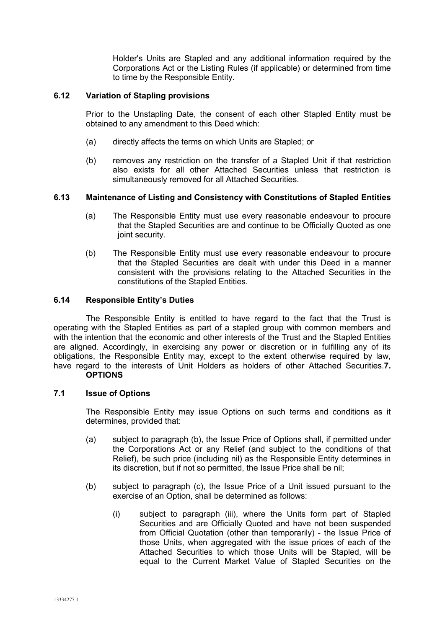Holder's Units are Stapled and any additional information required by the Corporations Act or the Listing Rules (if applicable) or determined from time to time by the Responsible Entity.

## **6.12 Variation of Stapling provisions**

Prior to the Unstapling Date, the consent of each other Stapled Entity must be obtained to any amendment to this Deed which:

- (a) directly affects the terms on which Units are Stapled; or
- (b) removes any restriction on the transfer of a Stapled Unit if that restriction also exists for all other Attached Securities unless that restriction is simultaneously removed for all Attached Securities.

## **6.13 Maintenance of Listing and Consistency with Constitutions of Stapled Entities**

- (a) The Responsible Entity must use every reasonable endeavour to procure that the Stapled Securities are and continue to be Officially Quoted as one joint security.
- (b) The Responsible Entity must use every reasonable endeavour to procure that the Stapled Securities are dealt with under this Deed in a manner consistent with the provisions relating to the Attached Securities in the constitutions of the Stapled Entities.

## **6.14 Responsible Entity's Duties**

The Responsible Entity is entitled to have regard to the fact that the Trust is operating with the Stapled Entities as part of a stapled group with common members and with the intention that the economic and other interests of the Trust and the Stapled Entities are aligned. Accordingly, in exercising any power or discretion or in fulfilling any of its obligations, the Responsible Entity may, except to the extent otherwise required by law, have regard to the interests of Unit Holders as holders of other Attached Securities.**7. OPTIONS**

#### **7.1 Issue of Options**

The Responsible Entity may issue Options on such terms and conditions as it determines, provided that:

- (a) subject to paragraph (b), the Issue Price of Options shall, if permitted under the Corporations Act or any Relief (and subject to the conditions of that Relief), be such price (including nil) as the Responsible Entity determines in its discretion, but if not so permitted, the Issue Price shall be nil;
- (b) subject to paragraph (c), the Issue Price of a Unit issued pursuant to the exercise of an Option, shall be determined as follows:
	- (i) subject to paragraph (iii), where the Units form part of Stapled Securities and are Officially Quoted and have not been suspended from Official Quotation (other than temporarily) - the Issue Price of those Units, when aggregated with the issue prices of each of the Attached Securities to which those Units will be Stapled, will be equal to the Current Market Value of Stapled Securities on the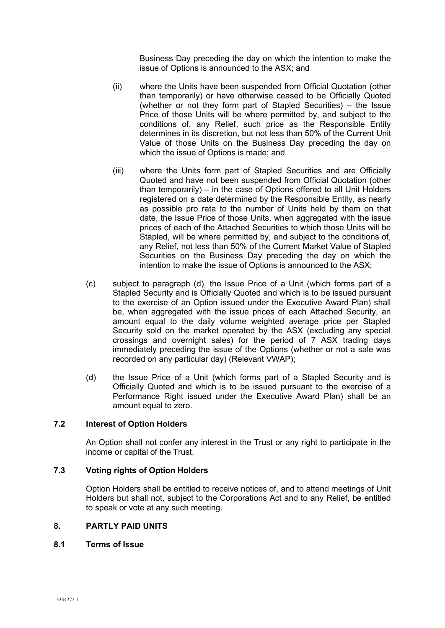Business Day preceding the day on which the intention to make the issue of Options is announced to the ASX; and

- (ii) where the Units have been suspended from Official Quotation (other than temporarily) or have otherwise ceased to be Officially Quoted (whether or not they form part of Stapled Securities) – the Issue Price of those Units will be where permitted by, and subject to the conditions of, any Relief, such price as the Responsible Entity determines in its discretion, but not less than 50% of the Current Unit Value of those Units on the Business Day preceding the day on which the issue of Options is made; and
- (iii) where the Units form part of Stapled Securities and are Officially Quoted and have not been suspended from Official Quotation (other than temporarily) – in the case of Options offered to all Unit Holders registered on a date determined by the Responsible Entity, as nearly as possible pro rata to the number of Units held by them on that date, the Issue Price of those Units, when aggregated with the issue prices of each of the Attached Securities to which those Units will be Stapled, will be where permitted by, and subject to the conditions of, any Relief, not less than 50% of the Current Market Value of Stapled Securities on the Business Day preceding the day on which the intention to make the issue of Options is announced to the ASX;
- (c) subject to paragraph (d), the Issue Price of a Unit (which forms part of a Stapled Security and is Officially Quoted and which is to be issued pursuant to the exercise of an Option issued under the Executive Award Plan) shall be, when aggregated with the issue prices of each Attached Security, an amount equal to the daily volume weighted average price per Stapled Security sold on the market operated by the ASX (excluding any special crossings and overnight sales) for the period of 7 ASX trading days immediately preceding the issue of the Options (whether or not a sale was recorded on any particular day) (Relevant VWAP);
- (d) the Issue Price of a Unit (which forms part of a Stapled Security and is Officially Quoted and which is to be issued pursuant to the exercise of a Performance Right issued under the Executive Award Plan) shall be an amount equal to zero.

## **7.2 Interest of Option Holders**

An Option shall not confer any interest in the Trust or any right to participate in the income or capital of the Trust.

## **7.3 Voting rights of Option Holders**

Option Holders shall be entitled to receive notices of, and to attend meetings of Unit Holders but shall not, subject to the Corporations Act and to any Relief, be entitled to speak or vote at any such meeting.

## **8. PARTLY PAID UNITS**

#### **8.1 Terms of Issue**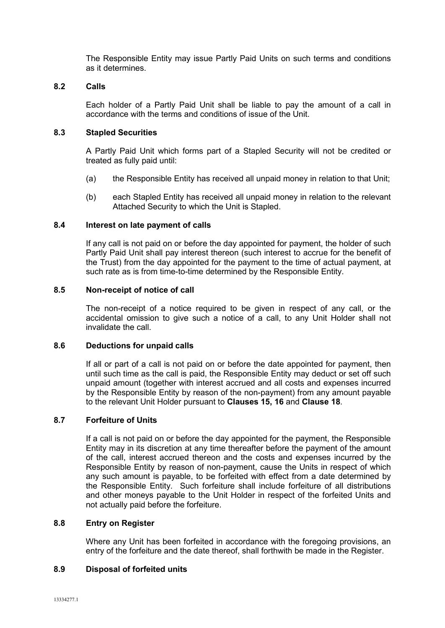The Responsible Entity may issue Partly Paid Units on such terms and conditions as it determines.

## **8.2 Calls**

Each holder of a Partly Paid Unit shall be liable to pay the amount of a call in accordance with the terms and conditions of issue of the Unit.

## **8.3 Stapled Securities**

A Partly Paid Unit which forms part of a Stapled Security will not be credited or treated as fully paid until:

- (a) the Responsible Entity has received all unpaid money in relation to that Unit;
- (b) each Stapled Entity has received all unpaid money in relation to the relevant Attached Security to which the Unit is Stapled.

## **8.4 Interest on late payment of calls**

If any call is not paid on or before the day appointed for payment, the holder of such Partly Paid Unit shall pay interest thereon (such interest to accrue for the benefit of the Trust) from the day appointed for the payment to the time of actual payment, at such rate as is from time-to-time determined by the Responsible Entity.

## **8.5 Non-receipt of notice of call**

The non-receipt of a notice required to be given in respect of any call, or the accidental omission to give such a notice of a call, to any Unit Holder shall not invalidate the call.

#### **8.6 Deductions for unpaid calls**

If all or part of a call is not paid on or before the date appointed for payment, then until such time as the call is paid, the Responsible Entity may deduct or set off such unpaid amount (together with interest accrued and all costs and expenses incurred by the Responsible Entity by reason of the non-payment) from any amount payable to the relevant Unit Holder pursuant to **Clauses 15, 16** and **Clause 18**.

## **8.7 Forfeiture of Units**

If a call is not paid on or before the day appointed for the payment, the Responsible Entity may in its discretion at any time thereafter before the payment of the amount of the call, interest accrued thereon and the costs and expenses incurred by the Responsible Entity by reason of non-payment, cause the Units in respect of which any such amount is payable, to be forfeited with effect from a date determined by the Responsible Entity. Such forfeiture shall include forfeiture of all distributions and other moneys payable to the Unit Holder in respect of the forfeited Units and not actually paid before the forfeiture.

#### **8.8 Entry on Register**

Where any Unit has been forfeited in accordance with the foregoing provisions, an entry of the forfeiture and the date thereof, shall forthwith be made in the Register.

#### **8.9 Disposal of forfeited units**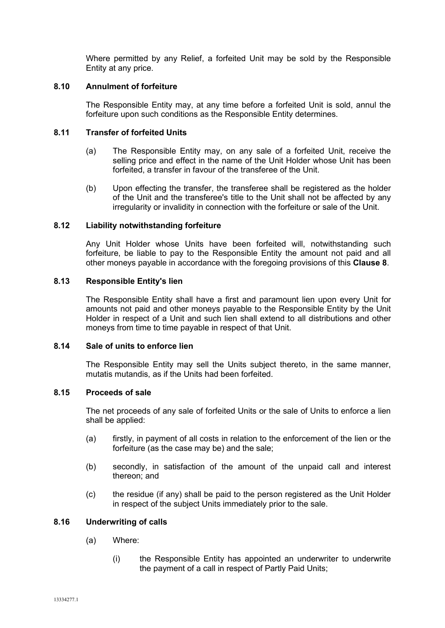Where permitted by any Relief, a forfeited Unit may be sold by the Responsible Entity at any price.

## **8.10 Annulment of forfeiture**

The Responsible Entity may, at any time before a forfeited Unit is sold, annul the forfeiture upon such conditions as the Responsible Entity determines.

## **8.11 Transfer of forfeited Units**

- (a) The Responsible Entity may, on any sale of a forfeited Unit, receive the selling price and effect in the name of the Unit Holder whose Unit has been forfeited, a transfer in favour of the transferee of the Unit.
- (b) Upon effecting the transfer, the transferee shall be registered as the holder of the Unit and the transferee's title to the Unit shall not be affected by any irregularity or invalidity in connection with the forfeiture or sale of the Unit.

## **8.12 Liability notwithstanding forfeiture**

Any Unit Holder whose Units have been forfeited will, notwithstanding such forfeiture, be liable to pay to the Responsible Entity the amount not paid and all other moneys payable in accordance with the foregoing provisions of this **Clause 8**.

## **8.13 Responsible Entity's lien**

The Responsible Entity shall have a first and paramount lien upon every Unit for amounts not paid and other moneys payable to the Responsible Entity by the Unit Holder in respect of a Unit and such lien shall extend to all distributions and other moneys from time to time payable in respect of that Unit.

#### **8.14 Sale of units to enforce lien**

The Responsible Entity may sell the Units subject thereto, in the same manner, mutatis mutandis, as if the Units had been forfeited.

#### **8.15 Proceeds of sale**

The net proceeds of any sale of forfeited Units or the sale of Units to enforce a lien shall be applied:

- (a) firstly, in payment of all costs in relation to the enforcement of the lien or the forfeiture (as the case may be) and the sale;
- (b) secondly, in satisfaction of the amount of the unpaid call and interest thereon; and
- (c) the residue (if any) shall be paid to the person registered as the Unit Holder in respect of the subject Units immediately prior to the sale.

### **8.16 Underwriting of calls**

- (a) Where:
	- (i) the Responsible Entity has appointed an underwriter to underwrite the payment of a call in respect of Partly Paid Units;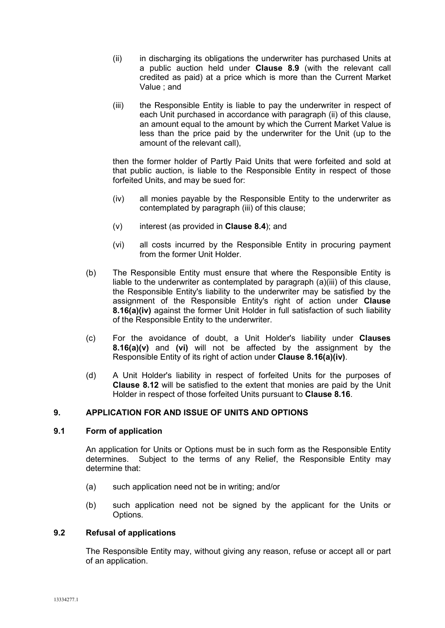- (ii) in discharging its obligations the underwriter has purchased Units at a public auction held under **Clause 8.9** (with the relevant call credited as paid) at a price which is more than the Current Market Value ; and
- (iii) the Responsible Entity is liable to pay the underwriter in respect of each Unit purchased in accordance with paragraph (ii) of this clause, an amount equal to the amount by which the Current Market Value is less than the price paid by the underwriter for the Unit (up to the amount of the relevant call),

then the former holder of Partly Paid Units that were forfeited and sold at that public auction, is liable to the Responsible Entity in respect of those forfeited Units, and may be sued for:

- (iv) all monies payable by the Responsible Entity to the underwriter as contemplated by paragraph (iii) of this clause;
- (v) interest (as provided in **Clause 8.4**); and
- (vi) all costs incurred by the Responsible Entity in procuring payment from the former Unit Holder.
- (b) The Responsible Entity must ensure that where the Responsible Entity is liable to the underwriter as contemplated by paragraph (a)(iii) of this clause, the Responsible Entity's liability to the underwriter may be satisfied by the assignment of the Responsible Entity's right of action under **Clause 8.16(a)(iv)** against the former Unit Holder in full satisfaction of such liability of the Responsible Entity to the underwriter.
- (c) For the avoidance of doubt, a Unit Holder's liability under **Clauses 8.16(a)(v)** and **(vi)** will not be affected by the assignment by the Responsible Entity of its right of action under **Clause 8.16(a)(iv)**.
- (d) A Unit Holder's liability in respect of forfeited Units for the purposes of **Clause 8.12** will be satisfied to the extent that monies are paid by the Unit Holder in respect of those forfeited Units pursuant to **Clause 8.16**.

## **9. APPLICATION FOR AND ISSUE OF UNITS AND OPTIONS**

## **9.1 Form of application**

An application for Units or Options must be in such form as the Responsible Entity determines. Subject to the terms of any Relief, the Responsible Entity may determine that:

- (a) such application need not be in writing; and/or
- (b) such application need not be signed by the applicant for the Units or Options.

#### **9.2 Refusal of applications**

The Responsible Entity may, without giving any reason, refuse or accept all or part of an application.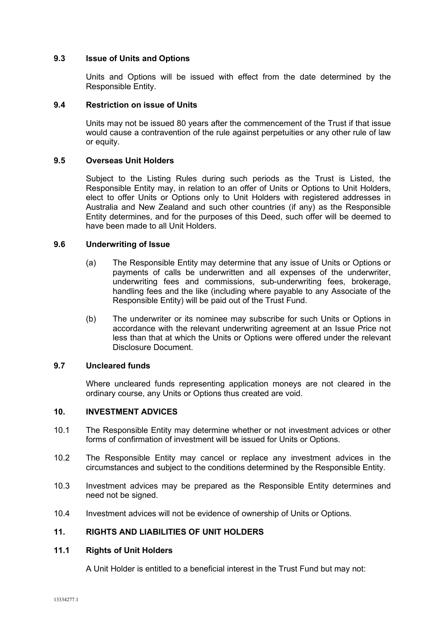## **9.3 Issue of Units and Options**

Units and Options will be issued with effect from the date determined by the Responsible Entity.

### **9.4 Restriction on issue of Units**

Units may not be issued 80 years after the commencement of the Trust if that issue would cause a contravention of the rule against perpetuities or any other rule of law or equity.

## **9.5 Overseas Unit Holders**

Subject to the Listing Rules during such periods as the Trust is Listed, the Responsible Entity may, in relation to an offer of Units or Options to Unit Holders, elect to offer Units or Options only to Unit Holders with registered addresses in Australia and New Zealand and such other countries (if any) as the Responsible Entity determines, and for the purposes of this Deed, such offer will be deemed to have been made to all Unit Holders.

## **9.6 Underwriting of Issue**

- (a) The Responsible Entity may determine that any issue of Units or Options or payments of calls be underwritten and all expenses of the underwriter, underwriting fees and commissions, sub-underwriting fees, brokerage, handling fees and the like (including where payable to any Associate of the Responsible Entity) will be paid out of the Trust Fund.
- (b) The underwriter or its nominee may subscribe for such Units or Options in accordance with the relevant underwriting agreement at an Issue Price not less than that at which the Units or Options were offered under the relevant Disclosure Document.

## **9.7 Uncleared funds**

Where uncleared funds representing application moneys are not cleared in the ordinary course, any Units or Options thus created are void.

## **10. INVESTMENT ADVICES**

- 10.1 The Responsible Entity may determine whether or not investment advices or other forms of confirmation of investment will be issued for Units or Options.
- 10.2 The Responsible Entity may cancel or replace any investment advices in the circumstances and subject to the conditions determined by the Responsible Entity.
- 10.3 Investment advices may be prepared as the Responsible Entity determines and need not be signed.
- 10.4 Investment advices will not be evidence of ownership of Units or Options.

#### **11. RIGHTS AND LIABILITIES OF UNIT HOLDERS**

## **11.1 Rights of Unit Holders**

A Unit Holder is entitled to a beneficial interest in the Trust Fund but may not: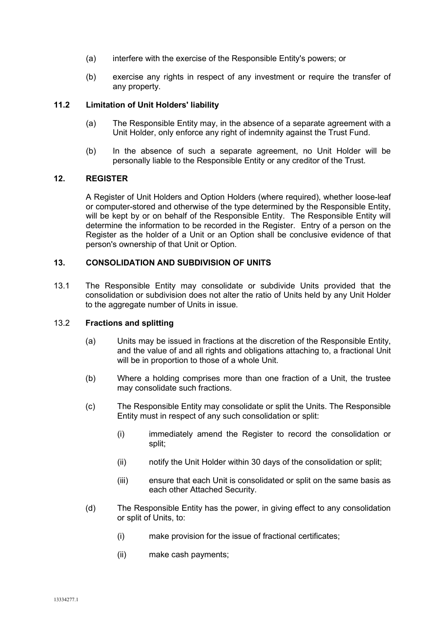- (a) interfere with the exercise of the Responsible Entity's powers; or
- (b) exercise any rights in respect of any investment or require the transfer of any property.

# **11.2 Limitation of Unit Holders' liability**

- (a) The Responsible Entity may, in the absence of a separate agreement with a Unit Holder, only enforce any right of indemnity against the Trust Fund.
- (b) In the absence of such a separate agreement, no Unit Holder will be personally liable to the Responsible Entity or any creditor of the Trust.

## **12. REGISTER**

A Register of Unit Holders and Option Holders (where required), whether loose-leaf or computer-stored and otherwise of the type determined by the Responsible Entity, will be kept by or on behalf of the Responsible Entity. The Responsible Entity will determine the information to be recorded in the Register. Entry of a person on the Register as the holder of a Unit or an Option shall be conclusive evidence of that person's ownership of that Unit or Option.

## **13. CONSOLIDATION AND SUBDIVISION OF UNITS**

13.1 The Responsible Entity may consolidate or subdivide Units provided that the consolidation or subdivision does not alter the ratio of Units held by any Unit Holder to the aggregate number of Units in issue.

## 13.2 **Fractions and splitting**

- (a) Units may be issued in fractions at the discretion of the Responsible Entity, and the value of and all rights and obligations attaching to, a fractional Unit will be in proportion to those of a whole Unit.
- (b) Where a holding comprises more than one fraction of a Unit, the trustee may consolidate such fractions.
- (c) The Responsible Entity may consolidate or split the Units. The Responsible Entity must in respect of any such consolidation or split:
	- (i) immediately amend the Register to record the consolidation or split;
	- (ii) notify the Unit Holder within 30 days of the consolidation or split;
	- (iii) ensure that each Unit is consolidated or split on the same basis as each other Attached Security.
- (d) The Responsible Entity has the power, in giving effect to any consolidation or split of Units, to:
	- (i) make provision for the issue of fractional certificates;
	- (ii) make cash payments;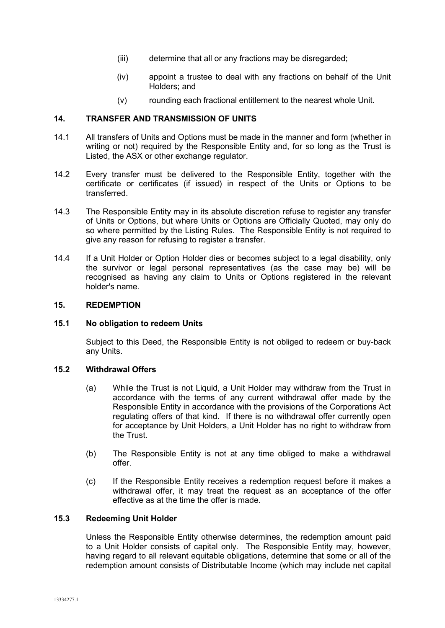- (iii) determine that all or any fractions may be disregarded;
- (iv) appoint a trustee to deal with any fractions on behalf of the Unit Holders; and
- (v) rounding each fractional entitlement to the nearest whole Unit.

## **14. TRANSFER AND TRANSMISSION OF UNITS**

- 14.1 All transfers of Units and Options must be made in the manner and form (whether in writing or not) required by the Responsible Entity and, for so long as the Trust is Listed, the ASX or other exchange regulator.
- 14.2 Every transfer must be delivered to the Responsible Entity, together with the certificate or certificates (if issued) in respect of the Units or Options to be transferred.
- 14.3 The Responsible Entity may in its absolute discretion refuse to register any transfer of Units or Options, but where Units or Options are Officially Quoted, may only do so where permitted by the Listing Rules. The Responsible Entity is not required to give any reason for refusing to register a transfer.
- 14.4 If a Unit Holder or Option Holder dies or becomes subject to a legal disability, only the survivor or legal personal representatives (as the case may be) will be recognised as having any claim to Units or Options registered in the relevant holder's name.

#### **15. REDEMPTION**

## **15.1 No obligation to redeem Units**

Subject to this Deed, the Responsible Entity is not obliged to redeem or buy-back any Units.

#### **15.2 Withdrawal Offers**

- (a) While the Trust is not Liquid, a Unit Holder may withdraw from the Trust in accordance with the terms of any current withdrawal offer made by the Responsible Entity in accordance with the provisions of the Corporations Act regulating offers of that kind. If there is no withdrawal offer currently open for acceptance by Unit Holders, a Unit Holder has no right to withdraw from the Trust.
- (b) The Responsible Entity is not at any time obliged to make a withdrawal offer.
- (c) If the Responsible Entity receives a redemption request before it makes a withdrawal offer, it may treat the request as an acceptance of the offer effective as at the time the offer is made.

## **15.3 Redeeming Unit Holder**

Unless the Responsible Entity otherwise determines, the redemption amount paid to a Unit Holder consists of capital only. The Responsible Entity may, however, having regard to all relevant equitable obligations, determine that some or all of the redemption amount consists of Distributable Income (which may include net capital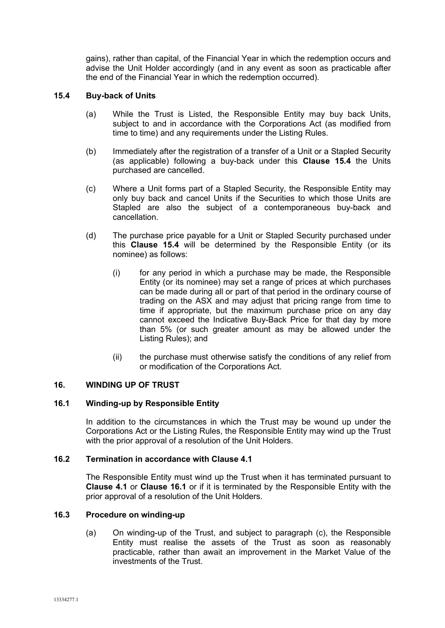gains), rather than capital, of the Financial Year in which the redemption occurs and advise the Unit Holder accordingly (and in any event as soon as practicable after the end of the Financial Year in which the redemption occurred).

## **15.4 Buy-back of Units**

- (a) While the Trust is Listed, the Responsible Entity may buy back Units, subject to and in accordance with the Corporations Act (as modified from time to time) and any requirements under the Listing Rules.
- (b) Immediately after the registration of a transfer of a Unit or a Stapled Security (as applicable) following a buy-back under this **Clause 15.4** the Units purchased are cancelled.
- (c) Where a Unit forms part of a Stapled Security, the Responsible Entity may only buy back and cancel Units if the Securities to which those Units are Stapled are also the subject of a contemporaneous buy-back and cancellation.
- (d) The purchase price payable for a Unit or Stapled Security purchased under this **Clause 15.4** will be determined by the Responsible Entity (or its nominee) as follows:
	- (i) for any period in which a purchase may be made, the Responsible Entity (or its nominee) may set a range of prices at which purchases can be made during all or part of that period in the ordinary course of trading on the ASX and may adjust that pricing range from time to time if appropriate, but the maximum purchase price on any day cannot exceed the Indicative Buy-Back Price for that day by more than 5% (or such greater amount as may be allowed under the Listing Rules); and
	- (ii) the purchase must otherwise satisfy the conditions of any relief from or modification of the Corporations Act.

## **16. WINDING UP OF TRUST**

#### **16.1 Winding-up by Responsible Entity**

In addition to the circumstances in which the Trust may be wound up under the Corporations Act or the Listing Rules, the Responsible Entity may wind up the Trust with the prior approval of a resolution of the Unit Holders.

### **16.2 Termination in accordance with Clause 4.1**

The Responsible Entity must wind up the Trust when it has terminated pursuant to **Clause 4.1** or **Clause 16.1** or if it is terminated by the Responsible Entity with the prior approval of a resolution of the Unit Holders.

## **16.3 Procedure on winding-up**

(a) On winding-up of the Trust, and subject to paragraph (c), the Responsible Entity must realise the assets of the Trust as soon as reasonably practicable, rather than await an improvement in the Market Value of the investments of the Trust.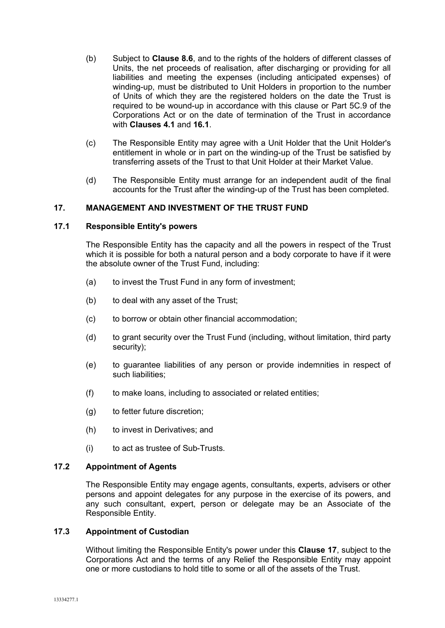- (b) Subject to **Clause 8.6**, and to the rights of the holders of different classes of Units, the net proceeds of realisation, after discharging or providing for all liabilities and meeting the expenses (including anticipated expenses) of winding-up, must be distributed to Unit Holders in proportion to the number of Units of which they are the registered holders on the date the Trust is required to be wound-up in accordance with this clause or Part 5C.9 of the Corporations Act or on the date of termination of the Trust in accordance with **Clauses 4.1** and **16.1**.
- (c) The Responsible Entity may agree with a Unit Holder that the Unit Holder's entitlement in whole or in part on the winding-up of the Trust be satisfied by transferring assets of the Trust to that Unit Holder at their Market Value.
- (d) The Responsible Entity must arrange for an independent audit of the final accounts for the Trust after the winding-up of the Trust has been completed.

## **17. MANAGEMENT AND INVESTMENT OF THE TRUST FUND**

## **17.1 Responsible Entity's powers**

The Responsible Entity has the capacity and all the powers in respect of the Trust which it is possible for both a natural person and a body corporate to have if it were the absolute owner of the Trust Fund, including:

- (a) to invest the Trust Fund in any form of investment;
- (b) to deal with any asset of the Trust;
- (c) to borrow or obtain other financial accommodation;
- (d) to grant security over the Trust Fund (including, without limitation, third party security);
- (e) to guarantee liabilities of any person or provide indemnities in respect of such liabilities;
- (f) to make loans, including to associated or related entities;
- (g) to fetter future discretion;
- (h) to invest in Derivatives; and
- (i) to act as trustee of Sub-Trusts.

## **17.2 Appointment of Agents**

The Responsible Entity may engage agents, consultants, experts, advisers or other persons and appoint delegates for any purpose in the exercise of its powers, and any such consultant, expert, person or delegate may be an Associate of the Responsible Entity.

## **17.3 Appointment of Custodian**

Without limiting the Responsible Entity's power under this **Clause 17**, subject to the Corporations Act and the terms of any Relief the Responsible Entity may appoint one or more custodians to hold title to some or all of the assets of the Trust.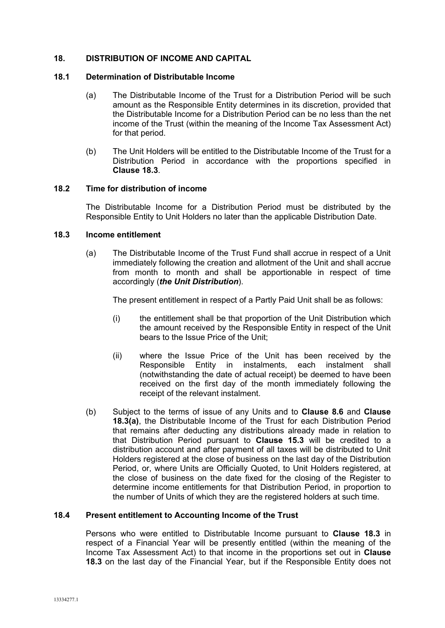## **18. DISTRIBUTION OF INCOME AND CAPITAL**

#### **18.1 Determination of Distributable Income**

- (a) The Distributable Income of the Trust for a Distribution Period will be such amount as the Responsible Entity determines in its discretion, provided that the Distributable Income for a Distribution Period can be no less than the net income of the Trust (within the meaning of the Income Tax Assessment Act) for that period.
- (b) The Unit Holders will be entitled to the Distributable Income of the Trust for a Distribution Period in accordance with the proportions specified in **Clause 18.3**.

#### **18.2 Time for distribution of income**

The Distributable Income for a Distribution Period must be distributed by the Responsible Entity to Unit Holders no later than the applicable Distribution Date.

#### **18.3 Income entitlement**

(a) The Distributable Income of the Trust Fund shall accrue in respect of a Unit immediately following the creation and allotment of the Unit and shall accrue from month to month and shall be apportionable in respect of time accordingly (*the Unit Distribution*).

The present entitlement in respect of a Partly Paid Unit shall be as follows:

- (i) the entitlement shall be that proportion of the Unit Distribution which the amount received by the Responsible Entity in respect of the Unit bears to the Issue Price of the Unit;
- (ii) where the Issue Price of the Unit has been received by the Responsible Entity in instalments, each instalment shall (notwithstanding the date of actual receipt) be deemed to have been received on the first day of the month immediately following the receipt of the relevant instalment.
- (b) Subject to the terms of issue of any Units and to **Clause 8.6** and **Clause 18.3(a)**, the Distributable Income of the Trust for each Distribution Period that remains after deducting any distributions already made in relation to that Distribution Period pursuant to **Clause 15.3** will be credited to a distribution account and after payment of all taxes will be distributed to Unit Holders registered at the close of business on the last day of the Distribution Period, or, where Units are Officially Quoted, to Unit Holders registered, at the close of business on the date fixed for the closing of the Register to determine income entitlements for that Distribution Period, in proportion to the number of Units of which they are the registered holders at such time.

#### **18.4 Present entitlement to Accounting Income of the Trust**

Persons who were entitled to Distributable Income pursuant to **Clause 18.3** in respect of a Financial Year will be presently entitled (within the meaning of the Income Tax Assessment Act) to that income in the proportions set out in **Clause 18.3** on the last day of the Financial Year, but if the Responsible Entity does not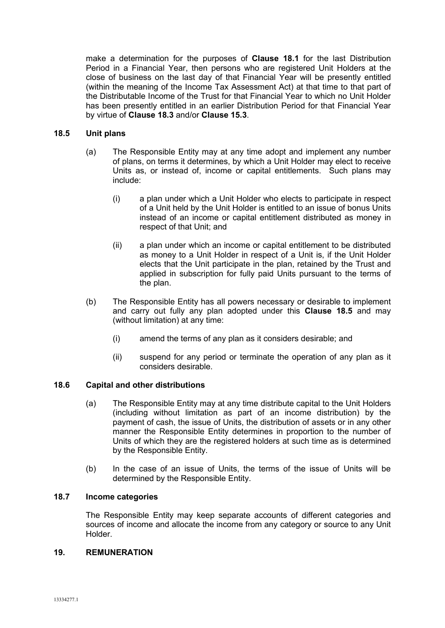make a determination for the purposes of **Clause 18.1** for the last Distribution Period in a Financial Year, then persons who are registered Unit Holders at the close of business on the last day of that Financial Year will be presently entitled (within the meaning of the Income Tax Assessment Act) at that time to that part of the Distributable Income of the Trust for that Financial Year to which no Unit Holder has been presently entitled in an earlier Distribution Period for that Financial Year by virtue of **Clause 18.3** and/or **Clause 15.3**.

## **18.5 Unit plans**

- (a) The Responsible Entity may at any time adopt and implement any number of plans, on terms it determines, by which a Unit Holder may elect to receive Units as, or instead of, income or capital entitlements. Such plans may include:
	- (i) a plan under which a Unit Holder who elects to participate in respect of a Unit held by the Unit Holder is entitled to an issue of bonus Units instead of an income or capital entitlement distributed as money in respect of that Unit; and
	- (ii) a plan under which an income or capital entitlement to be distributed as money to a Unit Holder in respect of a Unit is, if the Unit Holder elects that the Unit participate in the plan, retained by the Trust and applied in subscription for fully paid Units pursuant to the terms of the plan.
- (b) The Responsible Entity has all powers necessary or desirable to implement and carry out fully any plan adopted under this **Clause 18.5** and may (without limitation) at any time:
	- (i) amend the terms of any plan as it considers desirable; and
	- (ii) suspend for any period or terminate the operation of any plan as it considers desirable.

## **18.6 Capital and other distributions**

- (a) The Responsible Entity may at any time distribute capital to the Unit Holders (including without limitation as part of an income distribution) by the payment of cash, the issue of Units, the distribution of assets or in any other manner the Responsible Entity determines in proportion to the number of Units of which they are the registered holders at such time as is determined by the Responsible Entity.
- (b) In the case of an issue of Units, the terms of the issue of Units will be determined by the Responsible Entity.

#### **18.7 Income categories**

The Responsible Entity may keep separate accounts of different categories and sources of income and allocate the income from any category or source to any Unit Holder.

## **19. REMUNERATION**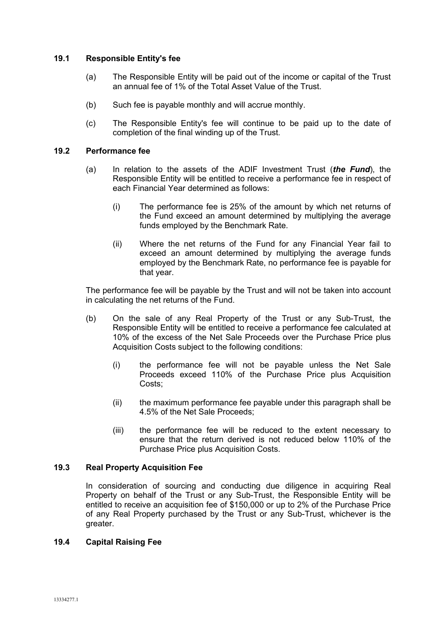## **19.1 Responsible Entity's fee**

- (a) The Responsible Entity will be paid out of the income or capital of the Trust an annual fee of 1% of the Total Asset Value of the Trust.
- (b) Such fee is payable monthly and will accrue monthly.
- (c) The Responsible Entity's fee will continue to be paid up to the date of completion of the final winding up of the Trust.

## **19.2 Performance fee**

- (a) In relation to the assets of the ADIF Investment Trust (*the Fund*), the Responsible Entity will be entitled to receive a performance fee in respect of each Financial Year determined as follows:
	- (i) The performance fee is 25% of the amount by which net returns of the Fund exceed an amount determined by multiplying the average funds employed by the Benchmark Rate.
	- (ii) Where the net returns of the Fund for any Financial Year fail to exceed an amount determined by multiplying the average funds employed by the Benchmark Rate, no performance fee is payable for that year.

The performance fee will be payable by the Trust and will not be taken into account in calculating the net returns of the Fund.

- (b) On the sale of any Real Property of the Trust or any Sub-Trust, the Responsible Entity will be entitled to receive a performance fee calculated at 10% of the excess of the Net Sale Proceeds over the Purchase Price plus Acquisition Costs subject to the following conditions:
	- (i) the performance fee will not be payable unless the Net Sale Proceeds exceed 110% of the Purchase Price plus Acquisition Costs;
	- (ii) the maximum performance fee payable under this paragraph shall be 4.5% of the Net Sale Proceeds;
	- (iii) the performance fee will be reduced to the extent necessary to ensure that the return derived is not reduced below 110% of the Purchase Price plus Acquisition Costs.

## **19.3 Real Property Acquisition Fee**

In consideration of sourcing and conducting due diligence in acquiring Real Property on behalf of the Trust or any Sub-Trust, the Responsible Entity will be entitled to receive an acquisition fee of \$150,000 or up to 2% of the Purchase Price of any Real Property purchased by the Trust or any Sub-Trust, whichever is the greater.

#### **19.4 Capital Raising Fee**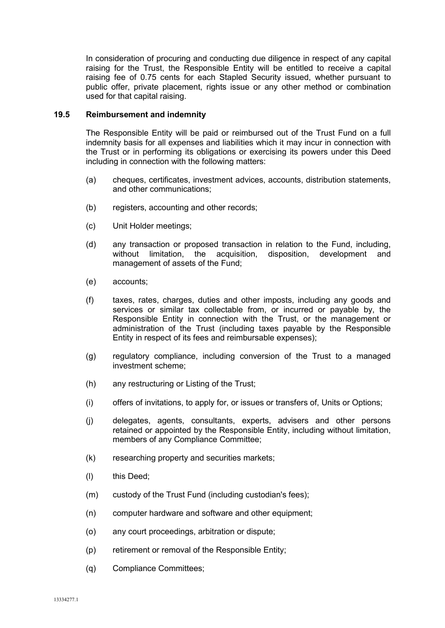In consideration of procuring and conducting due diligence in respect of any capital raising for the Trust, the Responsible Entity will be entitled to receive a capital raising fee of 0.75 cents for each Stapled Security issued, whether pursuant to public offer, private placement, rights issue or any other method or combination used for that capital raising.

## **19.5 Reimbursement and indemnity**

The Responsible Entity will be paid or reimbursed out of the Trust Fund on a full indemnity basis for all expenses and liabilities which it may incur in connection with the Trust or in performing its obligations or exercising its powers under this Deed including in connection with the following matters:

- (a) cheques, certificates, investment advices, accounts, distribution statements, and other communications;
- (b) registers, accounting and other records;
- (c) Unit Holder meetings;
- (d) any transaction or proposed transaction in relation to the Fund, including, without limitation, the acquisition, disposition, development and management of assets of the Fund;
- (e) accounts;
- (f) taxes, rates, charges, duties and other imposts, including any goods and services or similar tax collectable from, or incurred or payable by, the Responsible Entity in connection with the Trust, or the management or administration of the Trust (including taxes payable by the Responsible Entity in respect of its fees and reimbursable expenses);
- (g) regulatory compliance, including conversion of the Trust to a managed investment scheme;
- (h) any restructuring or Listing of the Trust;
- (i) offers of invitations, to apply for, or issues or transfers of, Units or Options;
- (j) delegates, agents, consultants, experts, advisers and other persons retained or appointed by the Responsible Entity, including without limitation, members of any Compliance Committee;
- (k) researching property and securities markets;
- (l) this Deed;
- (m) custody of the Trust Fund (including custodian's fees);
- (n) computer hardware and software and other equipment;
- (o) any court proceedings, arbitration or dispute;
- (p) retirement or removal of the Responsible Entity;
- (q) Compliance Committees;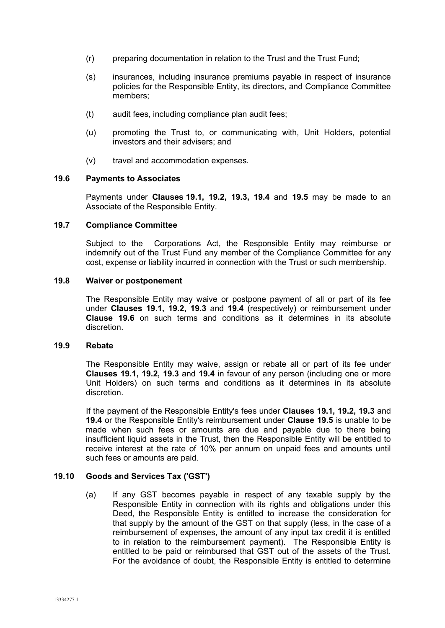- (r) preparing documentation in relation to the Trust and the Trust Fund;
- (s) insurances, including insurance premiums payable in respect of insurance policies for the Responsible Entity, its directors, and Compliance Committee members;
- (t) audit fees, including compliance plan audit fees;
- (u) promoting the Trust to, or communicating with, Unit Holders, potential investors and their advisers; and
- (v) travel and accommodation expenses.

## **19.6 Payments to Associates**

Payments under **Clauses 19.1, 19.2, 19.3, 19.4** and **19.5** may be made to an Associate of the Responsible Entity.

## **19.7 Compliance Committee**

Subject to the Corporations Act, the Responsible Entity may reimburse or indemnify out of the Trust Fund any member of the Compliance Committee for any cost, expense or liability incurred in connection with the Trust or such membership.

#### **19.8 Waiver or postponement**

The Responsible Entity may waive or postpone payment of all or part of its fee under **Clauses 19.1, 19.2, 19.3** and **19.4** (respectively) or reimbursement under **Clause 19.6** on such terms and conditions as it determines in its absolute discretion.

#### **19.9 Rebate**

The Responsible Entity may waive, assign or rebate all or part of its fee under **Clauses 19.1, 19.2, 19.3** and **19.4** in favour of any person (including one or more Unit Holders) on such terms and conditions as it determines in its absolute discretion.

If the payment of the Responsible Entity's fees under **Clauses 19.1, 19.2, 19.3** and **19.4** or the Responsible Entity's reimbursement under **Clause 19.5** is unable to be made when such fees or amounts are due and payable due to there being insufficient liquid assets in the Trust, then the Responsible Entity will be entitled to receive interest at the rate of 10% per annum on unpaid fees and amounts until such fees or amounts are paid.

## **19.10 Goods and Services Tax ('GST')**

(a) If any GST becomes payable in respect of any taxable supply by the Responsible Entity in connection with its rights and obligations under this Deed, the Responsible Entity is entitled to increase the consideration for that supply by the amount of the GST on that supply (less, in the case of a reimbursement of expenses, the amount of any input tax credit it is entitled to in relation to the reimbursement payment). The Responsible Entity is entitled to be paid or reimbursed that GST out of the assets of the Trust. For the avoidance of doubt, the Responsible Entity is entitled to determine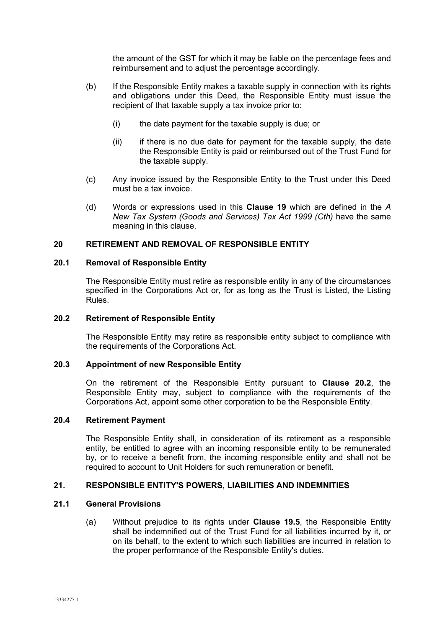the amount of the GST for which it may be liable on the percentage fees and reimbursement and to adjust the percentage accordingly.

- (b) If the Responsible Entity makes a taxable supply in connection with its rights and obligations under this Deed, the Responsible Entity must issue the recipient of that taxable supply a tax invoice prior to:
	- (i) the date payment for the taxable supply is due; or
	- $(ii)$  if there is no due date for payment for the taxable supply, the date the Responsible Entity is paid or reimbursed out of the Trust Fund for the taxable supply.
- (c) Any invoice issued by the Responsible Entity to the Trust under this Deed must be a tax invoice.
- (d) Words or expressions used in this **Clause 19** which are defined in the *A New Tax System (Goods and Services) Tax Act 1999 (Cth)* have the same meaning in this clause.

## **20 RETIREMENT AND REMOVAL OF RESPONSIBLE ENTITY**

#### **20.1 Removal of Responsible Entity**

The Responsible Entity must retire as responsible entity in any of the circumstances specified in the Corporations Act or, for as long as the Trust is Listed, the Listing Rules.

### **20.2 Retirement of Responsible Entity**

The Responsible Entity may retire as responsible entity subject to compliance with the requirements of the Corporations Act.

## **20.3 Appointment of new Responsible Entity**

On the retirement of the Responsible Entity pursuant to **Clause 20.2**, the Responsible Entity may, subject to compliance with the requirements of the Corporations Act, appoint some other corporation to be the Responsible Entity.

## **20.4 Retirement Payment**

The Responsible Entity shall, in consideration of its retirement as a responsible entity, be entitled to agree with an incoming responsible entity to be remunerated by, or to receive a benefit from, the incoming responsible entity and shall not be required to account to Unit Holders for such remuneration or benefit.

### **21. RESPONSIBLE ENTITY'S POWERS, LIABILITIES AND INDEMNITIES**

### **21.1 General Provisions**

(a) Without prejudice to its rights under **Clause 19.5**, the Responsible Entity shall be indemnified out of the Trust Fund for all liabilities incurred by it, or on its behalf, to the extent to which such liabilities are incurred in relation to the proper performance of the Responsible Entity's duties.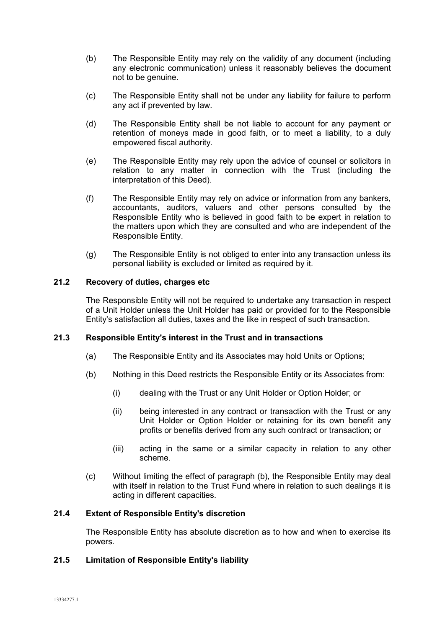- (b) The Responsible Entity may rely on the validity of any document (including any electronic communication) unless it reasonably believes the document not to be genuine.
- (c) The Responsible Entity shall not be under any liability for failure to perform any act if prevented by law.
- (d) The Responsible Entity shall be not liable to account for any payment or retention of moneys made in good faith, or to meet a liability, to a duly empowered fiscal authority.
- (e) The Responsible Entity may rely upon the advice of counsel or solicitors in relation to any matter in connection with the Trust (including the interpretation of this Deed).
- (f) The Responsible Entity may rely on advice or information from any bankers, accountants, auditors, valuers and other persons consulted by the Responsible Entity who is believed in good faith to be expert in relation to the matters upon which they are consulted and who are independent of the Responsible Entity.
- (g) The Responsible Entity is not obliged to enter into any transaction unless its personal liability is excluded or limited as required by it.

# **21.2 Recovery of duties, charges etc**

The Responsible Entity will not be required to undertake any transaction in respect of a Unit Holder unless the Unit Holder has paid or provided for to the Responsible Entity's satisfaction all duties, taxes and the like in respect of such transaction.

## **21.3 Responsible Entity's interest in the Trust and in transactions**

- (a) The Responsible Entity and its Associates may hold Units or Options;
- (b) Nothing in this Deed restricts the Responsible Entity or its Associates from:
	- (i) dealing with the Trust or any Unit Holder or Option Holder; or
	- (ii) being interested in any contract or transaction with the Trust or any Unit Holder or Option Holder or retaining for its own benefit any profits or benefits derived from any such contract or transaction; or
	- (iii) acting in the same or a similar capacity in relation to any other scheme.
- (c) Without limiting the effect of paragraph (b), the Responsible Entity may deal with itself in relation to the Trust Fund where in relation to such dealings it is acting in different capacities.

## **21.4 Extent of Responsible Entity's discretion**

The Responsible Entity has absolute discretion as to how and when to exercise its powers.

## **21.5 Limitation of Responsible Entity's liability**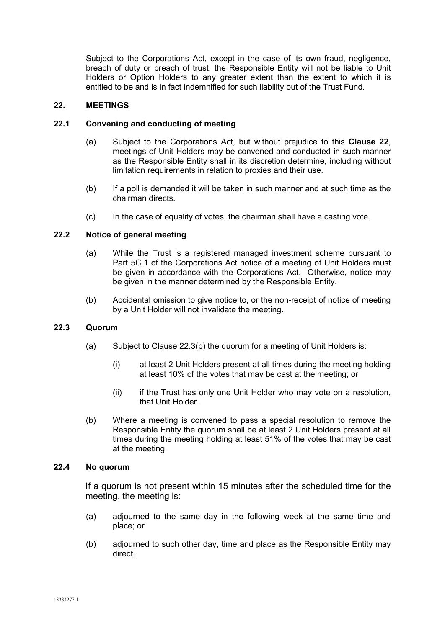Subject to the Corporations Act, except in the case of its own fraud, negligence, breach of duty or breach of trust, the Responsible Entity will not be liable to Unit Holders or Option Holders to any greater extent than the extent to which it is entitled to be and is in fact indemnified for such liability out of the Trust Fund.

## **22. MEETINGS**

## **22.1 Convening and conducting of meeting**

- (a) Subject to the Corporations Act, but without prejudice to this **Clause 22**, meetings of Unit Holders may be convened and conducted in such manner as the Responsible Entity shall in its discretion determine, including without limitation requirements in relation to proxies and their use.
- (b) If a poll is demanded it will be taken in such manner and at such time as the chairman directs.
- (c) In the case of equality of votes, the chairman shall have a casting vote.

## **22.2 Notice of general meeting**

- (a) While the Trust is a registered managed investment scheme pursuant to Part 5C.1 of the Corporations Act notice of a meeting of Unit Holders must be given in accordance with the Corporations Act. Otherwise, notice may be given in the manner determined by the Responsible Entity.
- (b) Accidental omission to give notice to, or the non-receipt of notice of meeting by a Unit Holder will not invalidate the meeting.

#### **22.3 Quorum**

- (a) Subject to Clause 22.3(b) the quorum for a meeting of Unit Holders is:
	- (i) at least 2 Unit Holders present at all times during the meeting holding at least 10% of the votes that may be cast at the meeting; or
	- (ii) if the Trust has only one Unit Holder who may vote on a resolution, that Unit Holder.
- (b) Where a meeting is convened to pass a special resolution to remove the Responsible Entity the quorum shall be at least 2 Unit Holders present at all times during the meeting holding at least 51% of the votes that may be cast at the meeting.

#### **22.4 No quorum**

If a quorum is not present within 15 minutes after the scheduled time for the meeting, the meeting is:

- (a) adjourned to the same day in the following week at the same time and place; or
- (b) adjourned to such other day, time and place as the Responsible Entity may direct.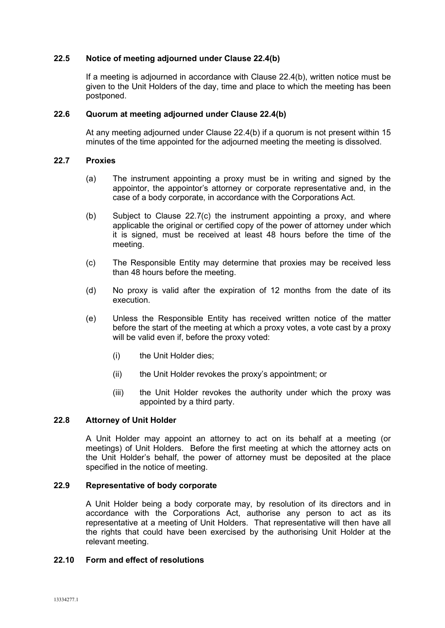### **22.5 Notice of meeting adjourned under Clause 22.4(b)**

If a meeting is adjourned in accordance with Clause 22.4(b), written notice must be given to the Unit Holders of the day, time and place to which the meeting has been postponed.

## **22.6 Quorum at meeting adjourned under Clause 22.4(b)**

At any meeting adjourned under Clause 22.4(b) if a quorum is not present within 15 minutes of the time appointed for the adjourned meeting the meeting is dissolved.

### **22.7 Proxies**

- (a) The instrument appointing a proxy must be in writing and signed by the appointor, the appointor's attorney or corporate representative and, in the case of a body corporate, in accordance with the Corporations Act.
- (b) Subject to Clause 22.7(c) the instrument appointing a proxy, and where applicable the original or certified copy of the power of attorney under which it is signed, must be received at least 48 hours before the time of the meeting.
- (c) The Responsible Entity may determine that proxies may be received less than 48 hours before the meeting.
- (d) No proxy is valid after the expiration of 12 months from the date of its execution.
- (e) Unless the Responsible Entity has received written notice of the matter before the start of the meeting at which a proxy votes, a vote cast by a proxy will be valid even if, before the proxy voted:
	- (i) the Unit Holder dies;
	- (ii) the Unit Holder revokes the proxy's appointment; or
	- (iii) the Unit Holder revokes the authority under which the proxy was appointed by a third party.

## **22.8 Attorney of Unit Holder**

A Unit Holder may appoint an attorney to act on its behalf at a meeting (or meetings) of Unit Holders. Before the first meeting at which the attorney acts on the Unit Holder's behalf, the power of attorney must be deposited at the place specified in the notice of meeting.

## **22.9 Representative of body corporate**

A Unit Holder being a body corporate may, by resolution of its directors and in accordance with the Corporations Act, authorise any person to act as its representative at a meeting of Unit Holders. That representative will then have all the rights that could have been exercised by the authorising Unit Holder at the relevant meeting.

## **22.10 Form and effect of resolutions**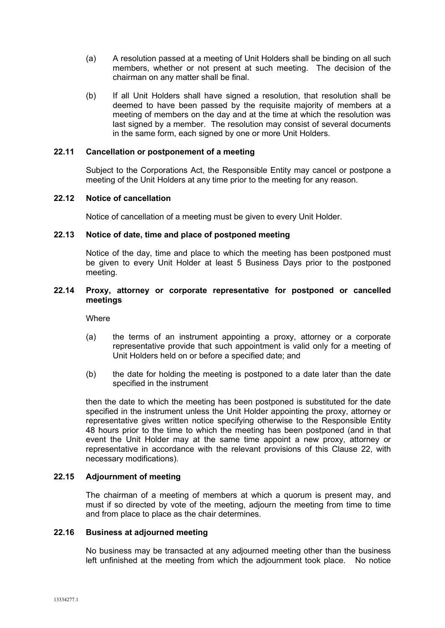- (a) A resolution passed at a meeting of Unit Holders shall be binding on all such members, whether or not present at such meeting. The decision of the chairman on any matter shall be final.
- (b) If all Unit Holders shall have signed a resolution, that resolution shall be deemed to have been passed by the requisite majority of members at a meeting of members on the day and at the time at which the resolution was last signed by a member. The resolution may consist of several documents in the same form, each signed by one or more Unit Holders.

## **22.11 Cancellation or postponement of a meeting**

Subject to the Corporations Act, the Responsible Entity may cancel or postpone a meeting of the Unit Holders at any time prior to the meeting for any reason.

## **22.12 Notice of cancellation**

Notice of cancellation of a meeting must be given to every Unit Holder.

#### **22.13 Notice of date, time and place of postponed meeting**

Notice of the day, time and place to which the meeting has been postponed must be given to every Unit Holder at least 5 Business Days prior to the postponed meeting.

## **22.14 Proxy, attorney or corporate representative for postponed or cancelled meetings**

**Where** 

- (a) the terms of an instrument appointing a proxy, attorney or a corporate representative provide that such appointment is valid only for a meeting of Unit Holders held on or before a specified date; and
- (b) the date for holding the meeting is postponed to a date later than the date specified in the instrument

then the date to which the meeting has been postponed is substituted for the date specified in the instrument unless the Unit Holder appointing the proxy, attorney or representative gives written notice specifying otherwise to the Responsible Entity 48 hours prior to the time to which the meeting has been postponed (and in that event the Unit Holder may at the same time appoint a new proxy, attorney or representative in accordance with the relevant provisions of this Clause 22, with necessary modifications).

## **22.15 Adjournment of meeting**

The chairman of a meeting of members at which a quorum is present may, and must if so directed by vote of the meeting, adjourn the meeting from time to time and from place to place as the chair determines.

### **22.16 Business at adjourned meeting**

No business may be transacted at any adjourned meeting other than the business left unfinished at the meeting from which the adjournment took place. No notice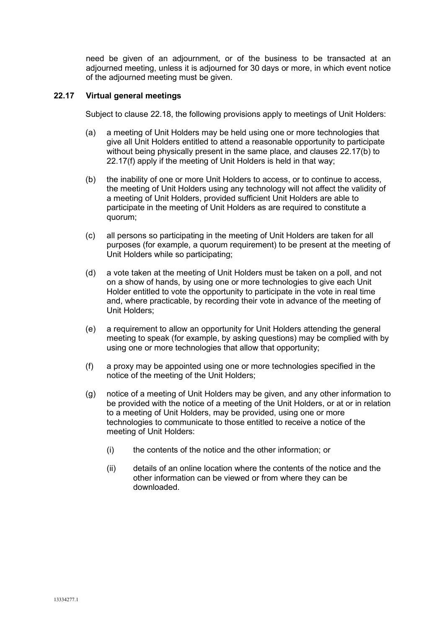need be given of an adjournment, or of the business to be transacted at an adjourned meeting, unless it is adjourned for 30 days or more, in which event notice of the adjourned meeting must be given.

# **22.17 Virtual general meetings**

Subject to clause 22.18, the following provisions apply to meetings of Unit Holders:

- (a) a meeting of Unit Holders may be held using one or more technologies that give all Unit Holders entitled to attend a reasonable opportunity to participate without being physically present in the same place, and clauses 22.17(b) to 22.17(f) apply if the meeting of Unit Holders is held in that way;
- (b) the inability of one or more Unit Holders to access, or to continue to access, the meeting of Unit Holders using any technology will not affect the validity of a meeting of Unit Holders, provided sufficient Unit Holders are able to participate in the meeting of Unit Holders as are required to constitute a quorum;
- (c) all persons so participating in the meeting of Unit Holders are taken for all purposes (for example, a quorum requirement) to be present at the meeting of Unit Holders while so participating;
- (d) a vote taken at the meeting of Unit Holders must be taken on a poll, and not on a show of hands, by using one or more technologies to give each Unit Holder entitled to vote the opportunity to participate in the vote in real time and, where practicable, by recording their vote in advance of the meeting of Unit Holders;
- (e) a requirement to allow an opportunity for Unit Holders attending the general meeting to speak (for example, by asking questions) may be complied with by using one or more technologies that allow that opportunity;
- (f) a proxy may be appointed using one or more technologies specified in the notice of the meeting of the Unit Holders;
- (g) notice of a meeting of Unit Holders may be given, and any other information to be provided with the notice of a meeting of the Unit Holders, or at or in relation to a meeting of Unit Holders, may be provided, using one or more technologies to communicate to those entitled to receive a notice of the meeting of Unit Holders:
	- (i) the contents of the notice and the other information; or
	- (ii) details of an online location where the contents of the notice and the other information can be viewed or from where they can be downloaded.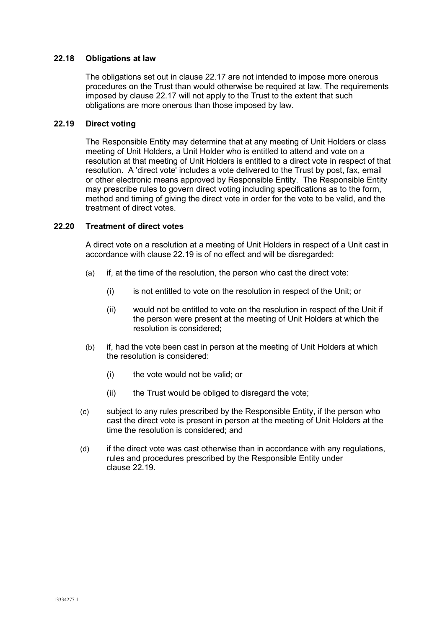## **22.18 Obligations at law**

The obligations set out in clause 22.17 are not intended to impose more onerous procedures on the Trust than would otherwise be required at law. The requirements imposed by clause 22.17 will not apply to the Trust to the extent that such obligations are more onerous than those imposed by law.

## **22.19 Direct voting**

The Responsible Entity may determine that at any meeting of Unit Holders or class meeting of Unit Holders, a Unit Holder who is entitled to attend and vote on a resolution at that meeting of Unit Holders is entitled to a direct vote in respect of that resolution. A 'direct vote' includes a vote delivered to the Trust by post, fax, email or other electronic means approved by Responsible Entity. The Responsible Entity may prescribe rules to govern direct voting including specifications as to the form, method and timing of giving the direct vote in order for the vote to be valid, and the treatment of direct votes.

## **22.20 Treatment of direct votes**

A direct vote on a resolution at a meeting of Unit Holders in respect of a Unit cast in accordance with clause 22.19 is of no effect and will be disregarded:

- (a) if, at the time of the resolution, the person who cast the direct vote:
	- (i) is not entitled to vote on the resolution in respect of the Unit; or
	- (ii) would not be entitled to vote on the resolution in respect of the Unit if the person were present at the meeting of Unit Holders at which the resolution is considered;
- (b) if, had the vote been cast in person at the meeting of Unit Holders at which the resolution is considered:
	- (i) the vote would not be valid; or
	- (ii) the Trust would be obliged to disregard the vote;
- (c) subject to any rules prescribed by the Responsible Entity, if the person who cast the direct vote is present in person at the meeting of Unit Holders at the time the resolution is considered; and
- (d) if the direct vote was cast otherwise than in accordance with any regulations, rules and procedures prescribed by the Responsible Entity under clause 22.19.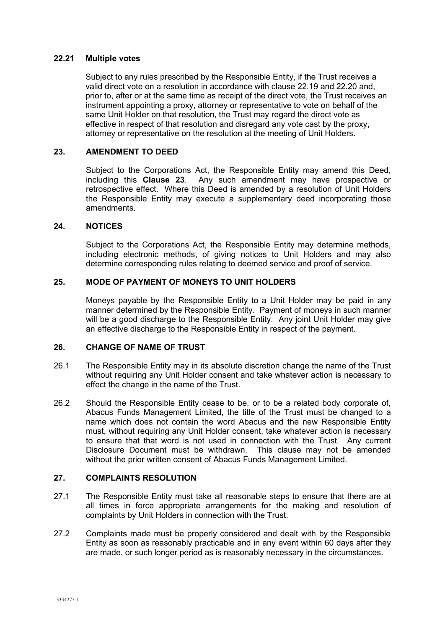### **22.21 Multiple votes**

Subject to any rules prescribed by the Responsible Entity, if the Trust receives a valid direct vote on a resolution in accordance with clause 22.19 and 22.20 and, prior to, after or at the same time as receipt of the direct vote, the Trust receives an instrument appointing a proxy, attorney or representative to vote on behalf of the same Unit Holder on that resolution, the Trust may regard the direct vote as effective in respect of that resolution and disregard any vote cast by the proxy, attorney or representative on the resolution at the meeting of Unit Holders.

## **23. AMENDMENT TO DEED**

Subject to the Corporations Act, the Responsible Entity may amend this Deed, including this **Clause 23**. Any such amendment may have prospective or retrospective effect. Where this Deed is amended by a resolution of Unit Holders the Responsible Entity may execute a supplementary deed incorporating those amendments.

#### **24. NOTICES**

Subject to the Corporations Act, the Responsible Entity may determine methods, including electronic methods, of giving notices to Unit Holders and may also determine corresponding rules relating to deemed service and proof of service.

# **25. MODE OF PAYMENT OF MONEYS TO UNIT HOLDERS**

Moneys payable by the Responsible Entity to a Unit Holder may be paid in any manner determined by the Responsible Entity. Payment of moneys in such manner will be a good discharge to the Responsible Entity. Any joint Unit Holder may give an effective discharge to the Responsible Entity in respect of the payment.

## **26. CHANGE OF NAME OF TRUST**

- 26.1 The Responsible Entity may in its absolute discretion change the name of the Trust without requiring any Unit Holder consent and take whatever action is necessary to effect the change in the name of the Trust.
- 26.2 Should the Responsible Entity cease to be, or to be a related body corporate of, Abacus Funds Management Limited, the title of the Trust must be changed to a name which does not contain the word Abacus and the new Responsible Entity must, without requiring any Unit Holder consent, take whatever action is necessary to ensure that that word is not used in connection with the Trust. Any current Disclosure Document must be withdrawn. This clause may not be amended without the prior written consent of Abacus Funds Management Limited.

## **27. COMPLAINTS RESOLUTION**

- 27.1 The Responsible Entity must take all reasonable steps to ensure that there are at all times in force appropriate arrangements for the making and resolution of complaints by Unit Holders in connection with the Trust.
- 27.2 Complaints made must be properly considered and dealt with by the Responsible Entity as soon as reasonably practicable and in any event within 60 days after they are made, or such longer period as is reasonably necessary in the circumstances.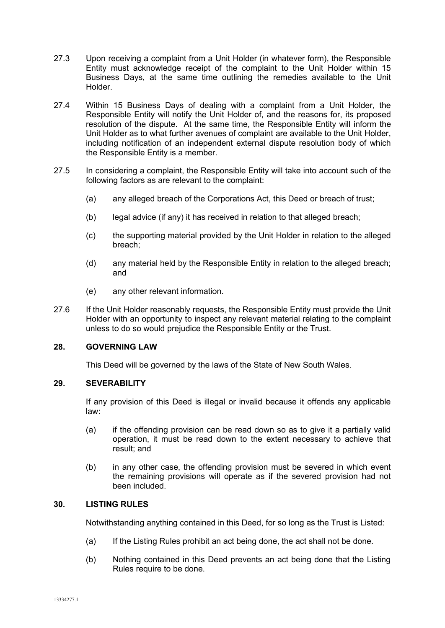- 27.3 Upon receiving a complaint from a Unit Holder (in whatever form), the Responsible Entity must acknowledge receipt of the complaint to the Unit Holder within 15 Business Days, at the same time outlining the remedies available to the Unit Holder.
- 27.4 Within 15 Business Days of dealing with a complaint from a Unit Holder, the Responsible Entity will notify the Unit Holder of, and the reasons for, its proposed resolution of the dispute. At the same time, the Responsible Entity will inform the Unit Holder as to what further avenues of complaint are available to the Unit Holder, including notification of an independent external dispute resolution body of which the Responsible Entity is a member.
- 27.5 In considering a complaint, the Responsible Entity will take into account such of the following factors as are relevant to the complaint:
	- (a) any alleged breach of the Corporations Act, this Deed or breach of trust;
	- (b) legal advice (if any) it has received in relation to that alleged breach;
	- (c) the supporting material provided by the Unit Holder in relation to the alleged breach;
	- (d) any material held by the Responsible Entity in relation to the alleged breach; and
	- (e) any other relevant information.
- 27.6 If the Unit Holder reasonably requests, the Responsible Entity must provide the Unit Holder with an opportunity to inspect any relevant material relating to the complaint unless to do so would prejudice the Responsible Entity or the Trust.

## **28. GOVERNING LAW**

This Deed will be governed by the laws of the State of New South Wales.

#### **29. SEVERABILITY**

If any provision of this Deed is illegal or invalid because it offends any applicable law:

- (a) if the offending provision can be read down so as to give it a partially valid operation, it must be read down to the extent necessary to achieve that result; and
- (b) in any other case, the offending provision must be severed in which event the remaining provisions will operate as if the severed provision had not been included.

## **30. LISTING RULES**

Notwithstanding anything contained in this Deed, for so long as the Trust is Listed:

- (a) If the Listing Rules prohibit an act being done, the act shall not be done.
- (b) Nothing contained in this Deed prevents an act being done that the Listing Rules require to be done.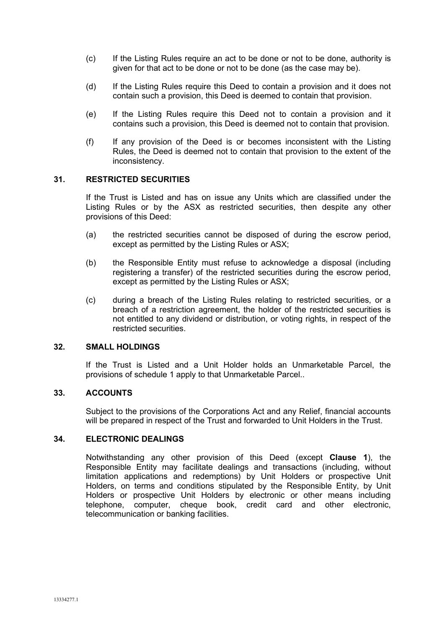- (c) If the Listing Rules require an act to be done or not to be done, authority is given for that act to be done or not to be done (as the case may be).
- (d) If the Listing Rules require this Deed to contain a provision and it does not contain such a provision, this Deed is deemed to contain that provision.
- (e) If the Listing Rules require this Deed not to contain a provision and it contains such a provision, this Deed is deemed not to contain that provision.
- (f) If any provision of the Deed is or becomes inconsistent with the Listing Rules, the Deed is deemed not to contain that provision to the extent of the inconsistency.

## **31. RESTRICTED SECURITIES**

If the Trust is Listed and has on issue any Units which are classified under the Listing Rules or by the ASX as restricted securities, then despite any other provisions of this Deed:

- (a) the restricted securities cannot be disposed of during the escrow period, except as permitted by the Listing Rules or ASX;
- (b) the Responsible Entity must refuse to acknowledge a disposal (including registering a transfer) of the restricted securities during the escrow period, except as permitted by the Listing Rules or ASX;
- (c) during a breach of the Listing Rules relating to restricted securities, or a breach of a restriction agreement, the holder of the restricted securities is not entitled to any dividend or distribution, or voting rights, in respect of the restricted securities.

## **32. SMALL HOLDINGS**

If the Trust is Listed and a Unit Holder holds an Unmarketable Parcel, the provisions of schedule 1 apply to that Unmarketable Parcel..

#### **33. ACCOUNTS**

Subject to the provisions of the Corporations Act and any Relief, financial accounts will be prepared in respect of the Trust and forwarded to Unit Holders in the Trust.

## **34. ELECTRONIC DEALINGS**

Notwithstanding any other provision of this Deed (except **Clause 1**), the Responsible Entity may facilitate dealings and transactions (including, without limitation applications and redemptions) by Unit Holders or prospective Unit Holders, on terms and conditions stipulated by the Responsible Entity, by Unit Holders or prospective Unit Holders by electronic or other means including telephone, computer, cheque book, credit card and other electronic, telecommunication or banking facilities.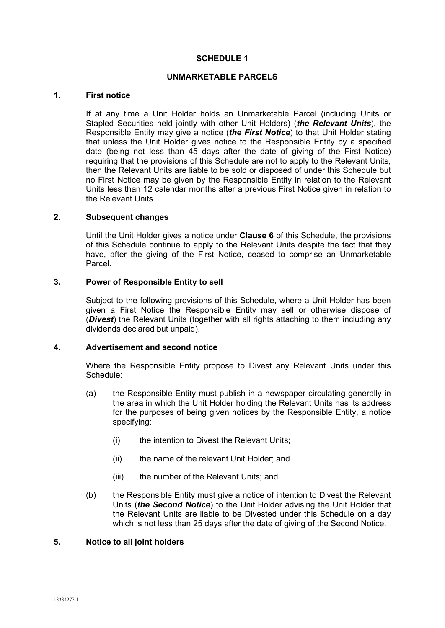## **SCHEDULE 1**

### **UNMARKETABLE PARCELS**

### **1. First notice**

If at any time a Unit Holder holds an Unmarketable Parcel (including Units or Stapled Securities held jointly with other Unit Holders) (*the Relevant Units*), the Responsible Entity may give a notice (*the First Notice*) to that Unit Holder stating that unless the Unit Holder gives notice to the Responsible Entity by a specified date (being not less than 45 days after the date of giving of the First Notice) requiring that the provisions of this Schedule are not to apply to the Relevant Units, then the Relevant Units are liable to be sold or disposed of under this Schedule but no First Notice may be given by the Responsible Entity in relation to the Relevant Units less than 12 calendar months after a previous First Notice given in relation to the Relevant Units.

## **2. Subsequent changes**

Until the Unit Holder gives a notice under **Clause 6** of this Schedule, the provisions of this Schedule continue to apply to the Relevant Units despite the fact that they have, after the giving of the First Notice, ceased to comprise an Unmarketable Parcel.

## **3. Power of Responsible Entity to sell**

Subject to the following provisions of this Schedule, where a Unit Holder has been given a First Notice the Responsible Entity may sell or otherwise dispose of (*Divest*) the Relevant Units (together with all rights attaching to them including any dividends declared but unpaid).

## **4. Advertisement and second notice**

Where the Responsible Entity propose to Divest any Relevant Units under this Schedule:

- (a) the Responsible Entity must publish in a newspaper circulating generally in the area in which the Unit Holder holding the Relevant Units has its address for the purposes of being given notices by the Responsible Entity, a notice specifying:
	- (i) the intention to Divest the Relevant Units;
	- (ii) the name of the relevant Unit Holder; and
	- (iii) the number of the Relevant Units; and
- (b) the Responsible Entity must give a notice of intention to Divest the Relevant Units (*the Second Notice*) to the Unit Holder advising the Unit Holder that the Relevant Units are liable to be Divested under this Schedule on a day which is not less than 25 days after the date of giving of the Second Notice.

### **5. Notice to all joint holders**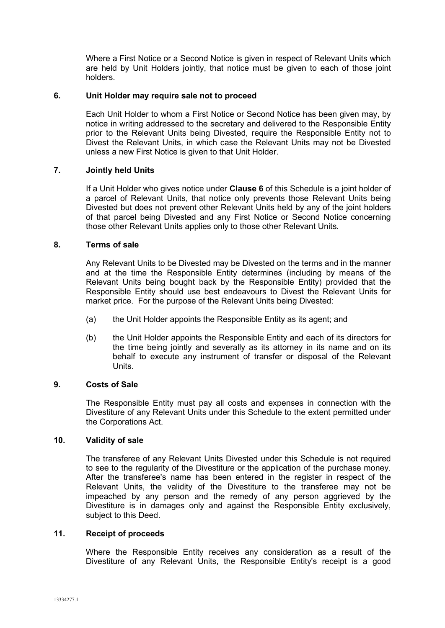Where a First Notice or a Second Notice is given in respect of Relevant Units which are held by Unit Holders jointly, that notice must be given to each of those joint holders.

## **6. Unit Holder may require sale not to proceed**

Each Unit Holder to whom a First Notice or Second Notice has been given may, by notice in writing addressed to the secretary and delivered to the Responsible Entity prior to the Relevant Units being Divested, require the Responsible Entity not to Divest the Relevant Units, in which case the Relevant Units may not be Divested unless a new First Notice is given to that Unit Holder.

## **7. Jointly held Units**

If a Unit Holder who gives notice under **Clause 6** of this Schedule is a joint holder of a parcel of Relevant Units, that notice only prevents those Relevant Units being Divested but does not prevent other Relevant Units held by any of the joint holders of that parcel being Divested and any First Notice or Second Notice concerning those other Relevant Units applies only to those other Relevant Units.

## **8. Terms of sale**

Any Relevant Units to be Divested may be Divested on the terms and in the manner and at the time the Responsible Entity determines (including by means of the Relevant Units being bought back by the Responsible Entity) provided that the Responsible Entity should use best endeavours to Divest the Relevant Units for market price. For the purpose of the Relevant Units being Divested:

- (a) the Unit Holder appoints the Responsible Entity as its agent; and
- (b) the Unit Holder appoints the Responsible Entity and each of its directors for the time being jointly and severally as its attorney in its name and on its behalf to execute any instrument of transfer or disposal of the Relevant Units.

## **9. Costs of Sale**

The Responsible Entity must pay all costs and expenses in connection with the Divestiture of any Relevant Units under this Schedule to the extent permitted under the Corporations Act.

#### **10. Validity of sale**

The transferee of any Relevant Units Divested under this Schedule is not required to see to the regularity of the Divestiture or the application of the purchase money. After the transferee's name has been entered in the register in respect of the Relevant Units, the validity of the Divestiture to the transferee may not be impeached by any person and the remedy of any person aggrieved by the Divestiture is in damages only and against the Responsible Entity exclusively, subject to this Deed.

#### **11. Receipt of proceeds**

Where the Responsible Entity receives any consideration as a result of the Divestiture of any Relevant Units, the Responsible Entity's receipt is a good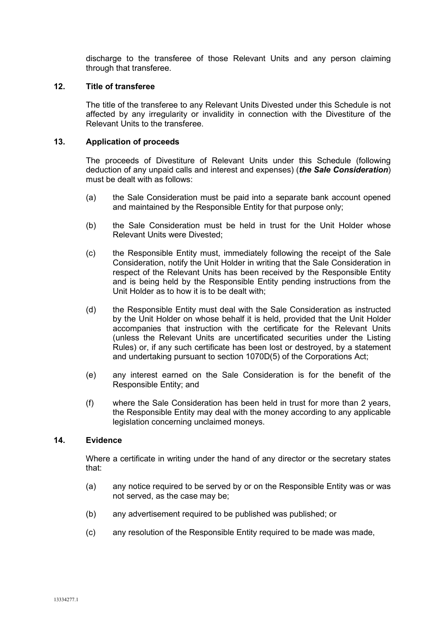discharge to the transferee of those Relevant Units and any person claiming through that transferee.

## **12. Title of transferee**

The title of the transferee to any Relevant Units Divested under this Schedule is not affected by any irregularity or invalidity in connection with the Divestiture of the Relevant Units to the transferee.

## **13. Application of proceeds**

The proceeds of Divestiture of Relevant Units under this Schedule (following deduction of any unpaid calls and interest and expenses) (*the Sale Consideration*) must be dealt with as follows:

- (a) the Sale Consideration must be paid into a separate bank account opened and maintained by the Responsible Entity for that purpose only;
- (b) the Sale Consideration must be held in trust for the Unit Holder whose Relevant Units were Divested;
- (c) the Responsible Entity must, immediately following the receipt of the Sale Consideration, notify the Unit Holder in writing that the Sale Consideration in respect of the Relevant Units has been received by the Responsible Entity and is being held by the Responsible Entity pending instructions from the Unit Holder as to how it is to be dealt with;
- (d) the Responsible Entity must deal with the Sale Consideration as instructed by the Unit Holder on whose behalf it is held, provided that the Unit Holder accompanies that instruction with the certificate for the Relevant Units (unless the Relevant Units are uncertificated securities under the Listing Rules) or, if any such certificate has been lost or destroyed, by a statement and undertaking pursuant to section 1070D(5) of the Corporations Act;
- (e) any interest earned on the Sale Consideration is for the benefit of the Responsible Entity; and
- (f) where the Sale Consideration has been held in trust for more than 2 years, the Responsible Entity may deal with the money according to any applicable legislation concerning unclaimed moneys.

## **14. Evidence**

Where a certificate in writing under the hand of any director or the secretary states that:

- (a) any notice required to be served by or on the Responsible Entity was or was not served, as the case may be;
- (b) any advertisement required to be published was published; or
- (c) any resolution of the Responsible Entity required to be made was made,